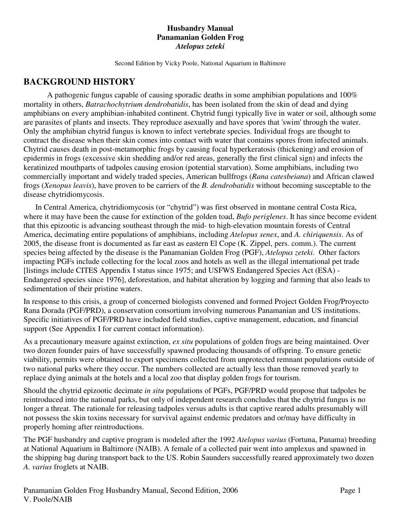### **Husbandry Manual Panamanian Golden Frog**  *Atelopus zeteki*

Second Edition by Vicky Poole, National Aquarium in Baltimore

# **BACKGROUND HISTORY**

 A pathogenic fungus capable of causing sporadic deaths in some amphibian populations and 100% mortality in others, *Batrachochytrium dendrobatidis*, has been isolated from the skin of dead and dying amphibians on every amphibian-inhabited continent. Chytrid fungi typically live in water or soil, although some are parasites of plants and insects. They reproduce asexually and have spores that 'swim' through the water. Only the amphibian chytrid fungus is known to infect vertebrate species. Individual frogs are thought to contract the disease when their skin comes into contact with water that contains spores from infected animals. Chytrid causes death in post-metamorphic frogs by causing focal hyperkeratosis (thickening) and erosion of epidermis in frogs (excessive skin shedding and/or red areas, generally the first clinical sign) and infects the keratinized mouthparts of tadpoles causing erosion (potential starvation). Some amphibians, including two commercially important and widely traded species, American bullfrogs (*Rana catesbeiana*) and African clawed frogs (*Xenopus leavis*), have proven to be carriers of the *B. dendrobatidis* without becoming susceptable to the disease chytridiomycosis.

In Central America, chytridiomycosis (or "chytrid") was first observed in montane central Costa Rica, where it may have been the cause for extinction of the golden toad, *Bufo periglenes*. It has since become evident that this epizootic is advancing southeast through the mid- to high-elevation mountain forests of Central America, decimating entire populations of amphibians, including *Atelopus senex*, and *A. chiriquensis*. As of 2005, the disease front is documented as far east as eastern El Cope (K. Zippel, pers. comm.). The current species being affected by the disease is the Panamanian Golden Frog (PGF), *Atelopus zeteki*. Other factors impacting PGFs include collecting for the local zoos and hotels as well as the illegal international pet trade [listings include CITES Appendix I status since 1975; and USFWS Endangered Species Act (ESA) - Endangered species since 1976], deforestation, and habitat alteration by logging and farming that also leads to sedimentation of their pristine waters.

In response to this crisis, a group of concerned biologists convened and formed Project Golden Frog/Proyecto Rana Dorada (PGF/PRD), a conservation consortium involving numerous Panamanian and US institutions. Specific initiatives of PGF/PRD have included field studies, captive management, education, and financial support (See Appendix I for current contact information).

As a precautionary measure against extinction, *ex situ* populations of golden frogs are being maintained. Over two dozen founder pairs of have successfully spawned producing thousands of offspring. To ensure genetic viability, permits were obtained to export specimens collected from unprotected remnant populations outside of two national parks where they occur. The numbers collected are actually less than those removed yearly to replace dying animals at the hotels and a local zoo that display golden frogs for tourism.

Should the chytrid epizootic decimate *in situ* populations of PGFs, PGF/PRD would propose that tadpoles be reintroduced into the national parks, but only of independent research concludes that the chytrid fungus is no longer a threat. The rationale for releasing tadpoles versus adults is that captive reared adults presumably will not possess the skin toxins necessary for survival against endemic predators and or/may have difficulty in properly homing after reintroductions.

The PGF husbandry and captive program is modeled after the 1992 *Atelopus varius* (Fortuna, Panama) breeding at National Aquarium in Baltimore (NAIB). A female of a collected pair went into amplexus and spawned in the shipping bag during transport back to the US. Robin Saunders successfully reared approximately two dozen *A. varius* froglets at NAIB.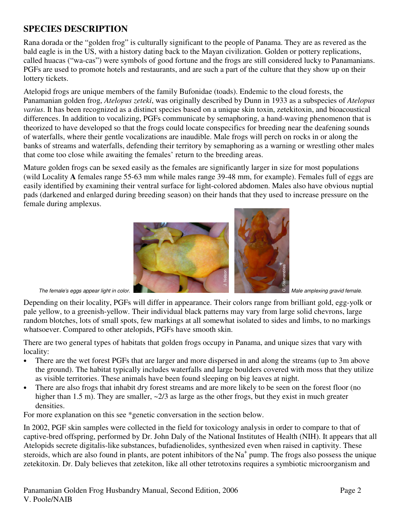# **SPECIES DESCRIPTION**

Rana dorada or the "golden frog" is culturally significant to the people of Panama. They are as revered as the bald eagle is in the US, with a history dating back to the Mayan civilization. Golden or pottery replications, called huacas ("wa-cas") were symbols of good fortune and the frogs are still considered lucky to Panamanians. PGFs are used to promote hotels and restaurants, and are such a part of the culture that they show up on their lottery tickets.

Atelopid frogs are unique members of the family Bufonidae (toads). Endemic to the cloud forests, the Panamanian golden frog, *Atelopus zeteki*, was originally described by Dunn in 1933 as a subspecies of *Atelopus varius*. It has been recognized as a distinct species based on a unique skin toxin, zetekitoxin, and bioacoustical differences. In addition to vocalizing, PGFs communicate by semaphoring, a hand-waving phenomenon that is theorized to have developed so that the frogs could locate conspecifics for breeding near the deafening sounds of waterfalls, where their gentle vocalizations are inaudible. Male frogs will perch on rocks in or along the banks of streams and waterfalls, defending their territory by semaphoring as a warning or wrestling other males that come too close while awaiting the females' return to the breeding areas.

Mature golden frogs can be sexed easily as the females are significantly larger in size for most populations (wild Locality **A** females range 55-63 mm while males range 39-48 mm, for example). Females full of eggs are easily identified by examining their ventral surface for light-colored abdomen. Males also have obvious nuptial pads (darkened and enlarged during breeding season) on their hands that they used to increase pressure on the female during amplexus.



Depending on their locality, PGFs will differ in appearance. Their colors range from brilliant gold, egg-yolk or pale yellow, to a greenish-yellow. Their individual black patterns may vary from large solid chevrons, large random blotches, lots of small spots, few markings at all somewhat isolated to sides and limbs, to no markings whatsoever. Compared to other atelopids, PGFs have smooth skin.

There are two general types of habitats that golden frogs occupy in Panama, and unique sizes that vary with locality:

- There are the wet forest PGFs that are larger and more dispersed in and along the streams (up to 3m above the ground). The habitat typically includes waterfalls and large boulders covered with moss that they utilize as visible territories. These animals have been found sleeping on big leaves at night.
- There are also frogs that inhabit dry forest streams and are more likely to be seen on the forest floor (no higher than 1.5 m). They are smaller,  $\approx 2/3$  as large as the other frogs, but they exist in much greater densities.

For more explanation on this see \*genetic conversation in the section below.

In 2002, PGF skin samples were collected in the field for toxicology analysis in order to compare to that of captive-bred offspring, performed by Dr. John Daly of the National Institutes of Health (NIH). It appears that all Atelopids secrete digitalis-like substances, bufadienolides, synthesized even when raised in captivity. These steroids, which are also found in plants, are potent inhibitors of the Na<sup>+</sup> pump. The frogs also possess the unique The female's aggs appear light in color.<br>
Depending on their locality, PGFs will differ in appearance. Their colors range from brilliant gold, egg-yolk or<br>
pale yellow, to a greenish-yellow. Their individual black patterns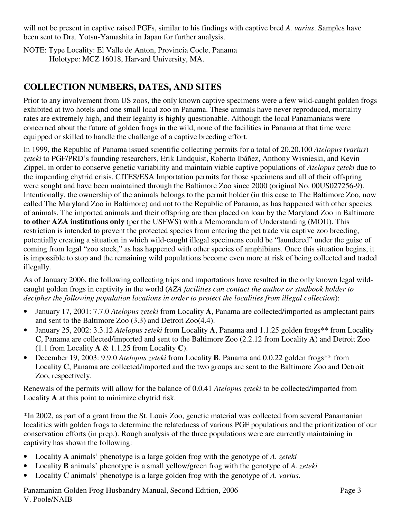will not be present in captive raised PGFs, similar to his findings with captive bred *A. varius*. Samples have been sent to Dra. Yotsu-Yamashita in Japan for further analysis.

NOTE: Type Locality: El Valle de Anton, Provincia Cocle, Panama Holotype: MCZ 16018, Harvard University, MA.

# **COLLECTION NUMBERS, DATES, AND SITES**

Prior to any involvement from US zoos, the only known captive specimens were a few wild-caught golden frogs exhibited at two hotels and one small local zoo in Panama. These animals have never reproduced, mortality rates are extremely high, and their legality is highly questionable. Although the local Panamanians were concerned about the future of golden frogs in the wild, none of the facilities in Panama at that time were equipped or skilled to handle the challenge of a captive breeding effort.

In 1999, the Republic of Panama issued scientific collecting permits for a total of 20.20.100 *Atelopus* (*varius*) *zeteki* to PGF/PRD's founding researchers, Erik Lindquist, Roberto Ibáñez, Anthony Wisnieski, and Kevin Zippel, in order to conserve genetic variability and maintain viable captive populations of *Atelopus zeteki* due to the impending chytrid crisis. CITES/ESA Importation permits for those specimens and all of their offspring were sought and have been maintained through the Baltimore Zoo since 2000 (original No. 00US027256-9). Intentionally, the ownership of the animals belongs to the permit holder (in this case to The Baltimore Zoo, now called The Maryland Zoo in Baltimore) and not to the Republic of Panama, as has happened with other species of animals. The imported animals and their offspring are then placed on loan by the Maryland Zoo in Baltimore **to other AZA institutions only** (per the USFWS) with a Memorandum of Understanding (MOU). This restriction is intended to prevent the protected species from entering the pet trade via captive zoo breeding, potentially creating a situation in which wild-caught illegal specimens could be "laundered" under the guise of coming from legal "zoo stock," as has happened with other species of amphibians. Once this situation begins, it is impossible to stop and the remaining wild populations become even more at risk of being collected and traded illegally.

As of January 2006, the following collecting trips and importations have resulted in the only known legal wildcaught golden frogs in captivity in the world (*AZA facilities can contact the author or studbook holder to decipher the following population locations in order to protect the localities from illegal collection*):

- January 17, 2001: 7.7.0 *Atelopus zeteki* from Locality **A**, Panama are collected/imported as amplectant pairs and sent to the Baltimore Zoo (3.3) and Detroit Zoo(4.4).
- January 25, 2002: 3.3.12 *Atelopus zeteki* from Locality **A**, Panama and 1.1.25 golden frogs\*\* from Locality **C**, Panama are collected/imported and sent to the Baltimore Zoo (2.2.12 from Locality **A**) and Detroit Zoo (1.1 from Locality **A** & 1.1.25 from Locality **C**).
- December 19, 2003: 9.9.0 *Atelopus zeteki* from Locality **B**, Panama and 0.0.22 golden frogs\*\* from Locality **C**, Panama are collected/imported and the two groups are sent to the Baltimore Zoo and Detroit Zoo, respectively.

Renewals of the permits will allow for the balance of 0.0.41 *Atelopus zeteki* to be collected/imported from Locality **A** at this point to minimize chytrid risk.

\*In 2002, as part of a grant from the St. Louis Zoo, genetic material was collected from several Panamanian localities with golden frogs to determine the relatedness of various PGF populations and the prioritization of our conservation efforts (in prep.). Rough analysis of the three populations were are currently maintaining in captivity has shown the following:

- Locality **A** animals' phenotype is a large golden frog with the genotype of *A. zeteki*
- Locality **B** animals' phenotype is a small yellow/green frog with the genotype of *A. zeteki*
- Locality **C** animals' phenotype is a large golden frog with the genotype of *A. varius*.

Panamanian Golden Frog Husbandry Manual, Second Edition, 2006 Page 3 V. Poole/NAIB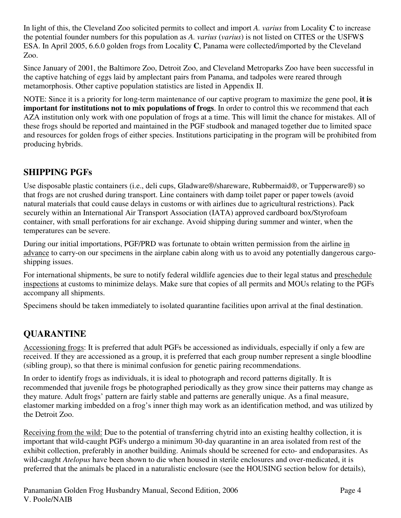In light of this, the Cleveland Zoo solicited permits to collect and import *A. varius* from Locality **C** to increase the potential founder numbers for this population as *A. varius* (*varius*) is not listed on CITES or the USFWS ESA. In April 2005, 6.6.0 golden frogs from Locality **C**, Panama were collected/imported by the Cleveland Zoo.

Since January of 2001, the Baltimore Zoo, Detroit Zoo, and Cleveland Metroparks Zoo have been successful in the captive hatching of eggs laid by amplectant pairs from Panama, and tadpoles were reared through metamorphosis. Other captive population statistics are listed in Appendix II.

NOTE: Since it is a priority for long-term maintenance of our captive program to maximize the gene pool, **it is important for institutions not to mix populations of frogs**. In order to control this we recommend that each AZA institution only work with one population of frogs at a time. This will limit the chance for mistakes. All of these frogs should be reported and maintained in the PGF studbook and managed together due to limited space and resources for golden frogs of either species. Institutions participating in the program will be prohibited from producing hybrids.

# **SHIPPING PGFs**

Use disposable plastic containers (i.e., deli cups, Gladware®/shareware, Rubbermaid®, or Tupperware®) so that frogs are not crushed during transport. Line containers with damp toilet paper or paper towels (avoid natural materials that could cause delays in customs or with airlines due to agricultural restrictions). Pack securely within an International Air Transport Association (IATA) approved cardboard box/Styrofoam container, with small perforations for air exchange. Avoid shipping during summer and winter, when the temperatures can be severe.

During our initial importations, PGF/PRD was fortunate to obtain written permission from the airline in advance to carry-on our specimens in the airplane cabin along with us to avoid any potentially dangerous cargoshipping issues.

For international shipments, be sure to notify federal wildlife agencies due to their legal status and preschedule inspections at customs to minimize delays. Make sure that copies of all permits and MOUs relating to the PGFs accompany all shipments.

Specimens should be taken immediately to isolated quarantine facilities upon arrival at the final destination.

# **QUARANTINE**

Accessioning frogs: It is preferred that adult PGFs be accessioned as individuals, especially if only a few are received. If they are accessioned as a group, it is preferred that each group number represent a single bloodline (sibling group), so that there is minimal confusion for genetic pairing recommendations.

In order to identify frogs as individuals, it is ideal to photograph and record patterns digitally. It is recommended that juvenile frogs be photographed periodically as they grow since their patterns may change as they mature. Adult frogs' pattern are fairly stable and patterns are generally unique. As a final measure, elastomer marking imbedded on a frog's inner thigh may work as an identification method, and was utilized by the Detroit Zoo.

Receiving from the wild: Due to the potential of transferring chytrid into an existing healthy collection, it is important that wild-caught PGFs undergo a minimum 30-day quarantine in an area isolated from rest of the exhibit collection, preferably in another building. Animals should be screened for ecto- and endoparasites. As wild-caught *Atelopus* have been shown to die when housed in sterile enclosures and over-medicated, it is preferred that the animals be placed in a naturalistic enclosure (see the HOUSING section below for details),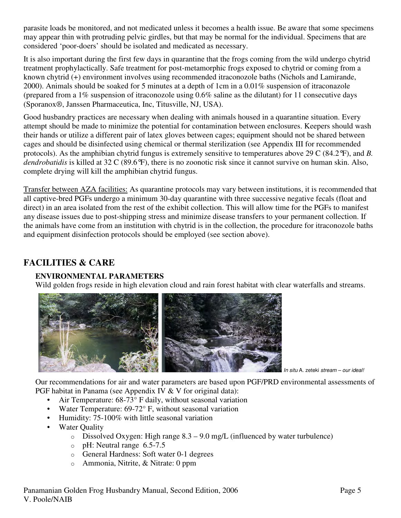parasite loads be monitored, and not medicated unless it becomes a health issue. Be aware that some specimens may appear thin with protruding pelvic girdles, but that may be normal for the individual. Specimens that are considered 'poor-doers' should be isolated and medicated as necessary.

It is also important during the first few days in quarantine that the frogs coming from the wild undergo chytrid treatment prophylactically. Safe treatment for post-metamorphic frogs exposed to chytrid or coming from a known chytrid (+) environment involves using recommended itraconozole baths (Nichols and Lamirande, 2000). Animals should be soaked for 5 minutes at a depth of 1cm in a 0.01% suspension of itraconazole (prepared from a 1% suspension of itraconozole using 0.6% saline as the dilutant) for 11 consecutive days (Sporanox®, Janssen Pharmaceutica, Inc, Titusville, NJ, USA).

Good husbandry practices are necessary when dealing with animals housed in a quarantine situation. Every attempt should be made to minimize the potential for contamination between enclosures. Keepers should wash their hands or utilize a different pair of latex gloves between cages; equipment should not be shared between cages and should be disinfected using chemical or thermal sterilization (see Appendix III for recommended protocols). As the amphibian chytrid fungus is extremely sensitive to temperatures above 29 C (84.2°F), and *B. dendrobatidis* is killed at 32 C (89.6°F), there is no zoonotic risk since it cannot survive on human skin. Also, complete drying will kill the amphibian chytrid fungus.

Transfer between AZA facilities: As quarantine protocols may vary between institutions, it is recommended that all captive-bred PGFs undergo a minimum 30-day quarantine with three successive negative fecals (float and direct) in an area isolated from the rest of the exhibit collection. This will allow time for the PGFs to manifest any disease issues due to post-shipping stress and minimize disease transfers to your permanent collection. If the animals have come from an institution with chytrid is in the collection, the procedure for itraconozole baths and equipment disinfection protocols should be employed (see section above).

## **FACILITIES & CARE**

## **ENVIRONMENTAL PARAMETERS**

Wild golden frogs reside in high elevation cloud and rain forest habitat with clear waterfalls and streams.



In situ A. zeteki stream – our ideal!

Our recommendations for air and water parameters are based upon PGF/PRD environmental assessments of PGF habitat in Panama (see Appendix IV & V for original data):

- Air Temperature: 68-73° F daily, without seasonal variation
- Water Temperature: 69-72° F, without seasonal variation
- Humidity: 75-100% with little seasonal variation
- Water Quality
	- $\circ$  Dissolved Oxygen: High range 8.3 9.0 mg/L (influenced by water turbulence)
	- o pH: Neutral range 6.5-7.5
	- o General Hardness: Soft water 0-1 degrees
	-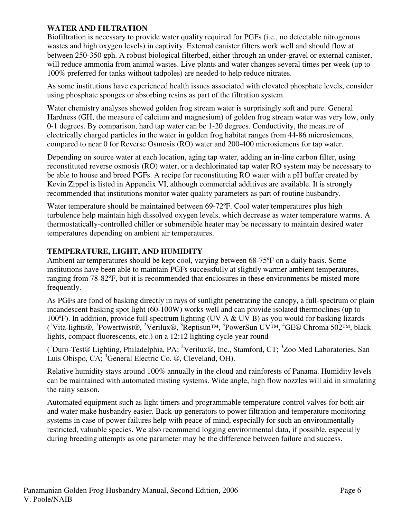## **WATER AND FILTRATION**

Biofiltration is necessary to provide water quality required for PGFs (i.e., no detectable nitrogenous wastes and high oxygen levels) in captivity. External canister filters work well and should flow at between 250-350 gph. A robust biological filterbed, either through an under-gravel or external canister, will reduce ammonia from animal wastes. Live plants and water changes several times per week (up to 100% preferred for tanks without tadpoles) are needed to help reduce nitrates.

As some institutions have experienced health issues associated with elevated phosphate levels, consider using phosphate sponges or absorbing resins as part of the filtration system.

Water chemistry analyses showed golden frog stream water is surprisingly soft and pure. General Hardness (GH, the measure of calcium and magnesium) of golden frog stream water was very low, only 0-1 degrees. By comparison, hard tap water can be 1-20 degrees. Conductivity, the measure of electrically charged particles in the water in golden frog habitat ranges from 44-86 microsiemens, compared to near 0 for Reverse Osmosis (RO) water and 200-400 microsiemens for tap water.

Depending on source water at each location, aging tap water, adding an in-line carbon filter, using reconstituted reverse osmosis (RO) water, or a dechlorinated tap water RO system may be necessary to be able to house and breed PGFs. A recipe for reconstituting RO water with a pH buffer created by Kevin Zippel is listed in Appendix VI, although commercial additives are available. It is strongly recommended that institutions monitor water quality parameters as part of routine husbandry.

Water temperature should be maintained between 69-72ºF. Cool water temperatures plus high turbulence help maintain high dissolved oxygen levels, which decrease as water temperature warms. A thermostatically-controlled chiller or submersible heater may be necessary to maintain desired water temperatures depending on ambient air temperatures.

## **TEMPERATURE, LIGHT, AND HUMIDITY**

Ambient air temperatures should be kept cool, varying between 68-75ºF on a daily basis. Some institutions have been able to maintain PGFs successfully at slightly warmer ambient temperatures, ranging from 78-82ºF, but it is recommended that enclosures in these environments be misted more frequently.

As PGFs are fond of basking directly in rays of sunlight penetrating the canopy, a full-spectrum or plain incandescent basking spot light (60-100W) works well and can provide isolated thermoclines (up to 100ºF). In addition, provide full-spectrum lighting (UV A & UV B) as you would for basking lizards (<sup>1</sup>Vita-lights®, <sup>1</sup>Powertwist®, <sup>2</sup>Verilux®, <sup>3</sup>Reptisun™, <sup>3</sup>PowerSun UV™, <sup>4</sup>GE® Chroma 502™, black lights, compact fluorescents, etc.) on a 12:12 lighting cycle year round

(<sup>1</sup>Duro-Test® Lighting, Philadelphia, PA; <sup>2</sup>Verilux®, Inc., Stamford, CT; <sup>3</sup>Zoo Med Laboratories, San Luis Obispo, CA; <sup>4</sup>General Electric Co. ®, Cleveland, OH).

Relative humidity stays around 100% annually in the cloud and rainforests of Panama. Humidity levels can be maintained with automated misting systems. Wide angle, high flow nozzles will aid in simulating the rainy season.

Automated equipment such as light timers and programmable temperature control valves for both air and water make husbandry easier. Back-up generators to power filtration and temperature monitoring systems in case of power failures help with peace of mind, especially for such an environmentally restricted, valuable species. We also recommend logging environmental data, if possible, especially during breeding attempts as one parameter may be the difference between failure and success.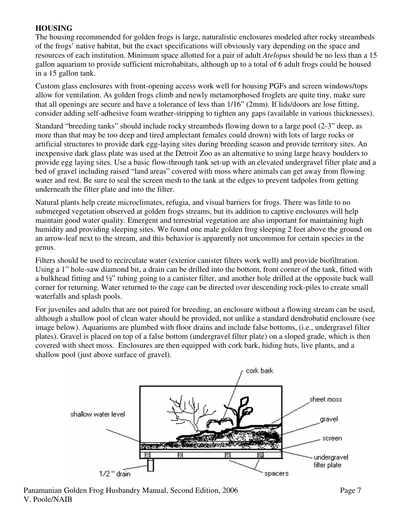## **HOUSING**

The housing recommended for golden frogs is large, naturalistic enclosures modeled after rocky streambeds of the frogs' native habitat, but the exact specifications will obviously vary depending on the space and resources of each institution. Minimum space allotted for a pair of adult *Atelopus* should be no less than a 15 gallon aquarium to provide sufficient microhabitats, although up to a total of 6 adult frogs could be housed in a 15 gallon tank.

Custom glass enclosures with front-opening access work well for housing PGFs and screen windows/tops allow for ventilation. As golden frogs climb and newly metamorphosed froglets are quite tiny, make sure that all openings are secure and have a tolerance of less than 1/16" (2mm). If lids/doors are lose fitting, consider adding self-adhesive foam weather-stripping to tighten any gaps (available in various thicknesses).

Standard "breeding tanks" should include rocky streambeds flowing down to a large pool (2-3" deep, as more than that may be too deep and tired amplectant females could drown) with lots of large rocks or artificial structures to provide dark egg-laying sites during breeding season and provide territory sites. An inexpensive dark glass plate was used at the Detroit Zoo as an alternative to using large heavy boulders to provide egg laying sites. Use a basic flow-through tank set-up with an elevated undergravel filter plate and a bed of gravel including raised "land areas" covered with moss where animals can get away from flowing water and rest. Be sure to seal the screen mesh to the tank at the edges to prevent tadpoles from getting underneath the filter plate and into the filter.

Natural plants help create microclimates, refugia, and visual barriers for frogs. There was little to no submerged vegetation observed at golden frogs streams, but its addition to captive enclosures will help maintain good water quality. Emergent and terrestrial vegetation are also important for maintaining high humidity and providing sleeping sites. We found one male golden frog sleeping 2 feet above the ground on an arrow-leaf next to the stream, and this behavior is apparently not uncommon for certain species in the genus.

Filters should be used to recirculate water (exterior canister filters work well) and provide biofiltration. Using a 1" hole-saw diamond bit, a drain can be drilled into the bottom, front corner of the tank, fitted with a bulkhead fitting and ½" tubing going to a canister filter, and another hole drilled at the opposite back wall corner for returning. Water returned to the cage can be directed over descending rock-piles to create small waterfalls and splash pools.

For juveniles and adults that are not paired for breeding, an enclosure without a flowing stream can be used, although a shallow pool of clean water should be provided, not unlike a standard dendrobatid enclosure (see image below). Aquariums are plumbed with floor drains and include false bottoms, (i.e., undergravel filter plates). Gravel is placed on top of a false bottom (undergravel filter plate) on a sloped grade, which is then covered with sheet moss. Enclosures are then equipped with cork bark, hiding huts, live plants, and a shallow pool (just above surface of gravel).

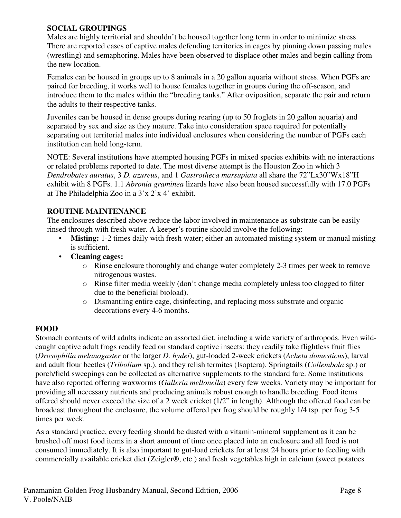## **SOCIAL GROUPINGS**

Males are highly territorial and shouldn't be housed together long term in order to minimize stress. There are reported cases of captive males defending territories in cages by pinning down passing males (wrestling) and semaphoring. Males have been observed to displace other males and begin calling from the new location.

Females can be housed in groups up to 8 animals in a 20 gallon aquaria without stress. When PGFs are paired for breeding, it works well to house females together in groups during the off-season, and introduce them to the males within the "breeding tanks." After oviposition, separate the pair and return the adults to their respective tanks.

Juveniles can be housed in dense groups during rearing (up to 50 froglets in 20 gallon aquaria) and separated by sex and size as they mature. Take into consideration space required for potentially separating out territorial males into individual enclosures when considering the number of PGFs each institution can hold long-term.

NOTE: Several institutions have attempted housing PGFs in mixed species exhibits with no interactions or related problems reported to date. The most diverse attempt is the Houston Zoo in which 3 *Dendrobates auratus*, 3 *D. azureus*, and 1 *Gastrotheca marsupiata* all share the 72"Lx30"Wx18"H exhibit with 8 PGFs. 1.1 *Abronia graminea* lizards have also been housed successfully with 17.0 PGFs at The Philadelphia Zoo in a 3'x 2'x 4' exhibit.

## **ROUTINE MAINTENANCE**

The enclosures described above reduce the labor involved in maintenance as substrate can be easily rinsed through with fresh water. A keeper's routine should involve the following:

- **Misting:** 1-2 times daily with fresh water; either an automated misting system or manual misting is sufficient.
- **Cleaning cages:**
	- o Rinse enclosure thoroughly and change water completely 2-3 times per week to remove nitrogenous wastes.
	- o Rinse filter media weekly (don't change media completely unless too clogged to filter due to the beneficial bioload).
	- o Dismantling entire cage, disinfecting, and replacing moss substrate and organic decorations every 4-6 months.

## **FOOD**

Stomach contents of wild adults indicate an assorted diet, including a wide variety of arthropods. Even wildcaught captive adult frogs readily feed on standard captive insects: they readily take flightless fruit flies (*Drosophilia melanogaster* or the larger *D. hydei*), gut-loaded 2-week crickets (*Acheta domesticus*), larval and adult flour beetles (*Tribolium* sp.), and they relish termites (Isoptera). Springtails (*Collembola* sp.) or porch/field sweepings can be collected as alternative supplements to the standard fare. Some institutions have also reported offering waxworms (*Galleria mellonella*) every few weeks. Variety may be important for providing all necessary nutrients and producing animals robust enough to handle breeding. Food items offered should never exceed the size of a 2 week cricket (1/2" in length). Although the offered food can be broadcast throughout the enclosure, the volume offered per frog should be roughly 1/4 tsp. per frog 3-5 times per week.

As a standard practice, every feeding should be dusted with a vitamin-mineral supplement as it can be brushed off most food items in a short amount of time once placed into an enclosure and all food is not consumed immediately. It is also important to gut-load crickets for at least 24 hours prior to feeding with commercially available cricket diet (Zeigler®, etc.) and fresh vegetables high in calcium (sweet potatoes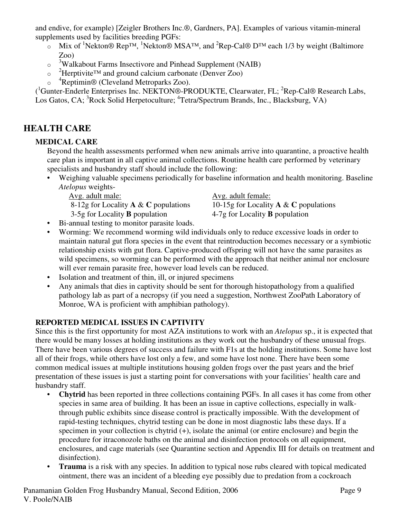and endive, for example) [Zeigler Brothers Inc.®, Gardners, PA]. Examples of various vitamin-mineral supplements used by facilities breeding PGFs:

- Mix of <sup>1</sup>Nekton® Rep<sup>TM</sup>, <sup>1</sup>Nekton® MSA<sup>TM</sup>, and <sup>2</sup>Rep-Cal® D<sup>TM</sup> each 1/3 by weight (Baltimore Zoo)
- o <sup>3</sup>Walkabout Farms Insectivore and Pinhead Supplement (NAIB)
- o <sup>2</sup>Herptivite<sup>™</sup> and ground calcium carbonate (Denver Zoo)
- o <sup>4</sup>Reptimin® (Cleveland Metroparks Zoo).

(<sup>1</sup>Gunter-Enderle Enterprises Inc. NEKTON®-PRODUKTE, Clearwater, FL; <sup>2</sup>Rep-Cal® Research Labs, Los Gatos, CA; <sup>3</sup>Rock Solid Herpetoculture; <sup>4</sup>Tetra/Spectrum Brands, Inc., Blacksburg, VA)

# **HEALTH CARE**

## **MEDICAL CARE**

Beyond the health assessments performed when new animals arrive into quarantine, a proactive health care plan is important in all captive animal collections. Routine health care performed by veterinary specialists and husbandry staff should include the following:

• Weighing valuable specimens periodically for baseline information and health monitoring. Baseline *Atelopus* weights-

3-5g for Locality **B** population 4-7g for Locality **B** population

Avg. adult male: Avg. adult female:

8-12g for Locality **A** & **C** populations 10-15g for Locality **A** & **C** populations

- Bi-annual testing to monitor parasite loads.
- Worming: We recommend worming wild individuals only to reduce excessive loads in order to maintain natural gut flora species in the event that reintroduction becomes necessary or a symbiotic relationship exists with gut flora. Captive-produced offspring will not have the same parasites as wild specimens, so worming can be performed with the approach that neither animal nor enclosure will ever remain parasite free, however load levels can be reduced.
- Isolation and treatment of thin, ill, or injured specimens
- Any animals that dies in captivity should be sent for thorough histopathology from a qualified pathology lab as part of a necropsy (if you need a suggestion, Northwest ZooPath Laboratory of Monroe, WA is proficient with amphibian pathology).

## **REPORTED MEDICAL ISSUES IN CAPTIVITY**

Since this is the first opportunity for most AZA institutions to work with an *Atelopus* sp., it is expected that there would be many losses at holding institutions as they work out the husbandry of these unusual frogs. There have been various degrees of success and failure with F1s at the holding institutions. Some have lost all of their frogs, while others have lost only a few, and some have lost none. There have been some common medical issues at multiple institutions housing golden frogs over the past years and the brief presentation of these issues is just a starting point for conversations with your facilities' health care and husbandry staff.

- **Chytrid** has been reported in three collections containing PGFs. In all cases it has come from other species in same area of building. It has been an issue in captive collections, especially in walkthrough public exhibits since disease control is practically impossible. With the development of rapid-testing techniques, chytrid testing can be done in most diagnostic labs these days. If a specimen in your collection is chytrid (+), isolate the animal (or entire enclosure) and begin the procedure for itraconozole baths on the animal and disinfection protocols on all equipment, enclosures, and cage materials (see Quarantine section and Appendix III for details on treatment and disinfection).
- **Trauma** is a risk with any species. In addition to typical nose rubs cleared with topical medicated ointment, there was an incident of a bleeding eye possibly due to predation from a cockroach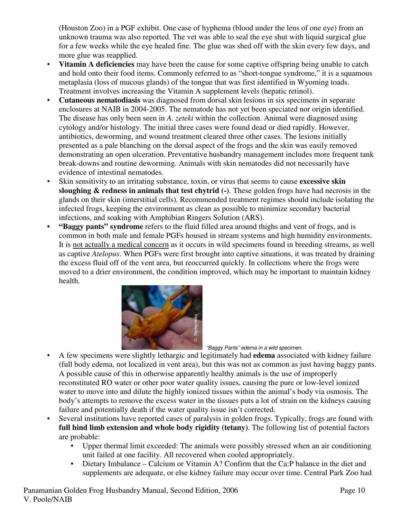(Houston Zoo) in a PGF exhibit. One case of hyphema (blood under the lens of one eye) from an unknown trauma was also reported. The vet was able to seal the eye shut with liquid surgical glue for a few weeks while the eye healed fine. The glue was shed off with the skin every few days, and more glue was reapplied.

- **Vitamin A deficiencies** may have been the cause for some captive offspring being unable to catch and hold onto their food items. Commonly referred to as "short-tongue syndrome," it is a squamous metaplasia (loss of mucous glands) of the tongue that was first identified in Wyoming toads. Treatment involves increasing the Vitamin A supplement levels (hepatic retinol).
- **Cutaneous nematodiasis** was diagnosed from dorsal skin lesions in six specimens in separate enclosures at NAIB in 2004-2005. The nematode has not yet been speciated nor origin identified. The disease has only been seen in *A. zeteki* within the collection. Animal were diagnosed using cytology and/or histology. The initial three cases were found dead or died rapidly. However, antibiotics, deworming, and wound treatment cleared three other cases. The lesions initially presented as a pale blanching on the dorsal aspect of the frogs and the skin was easily removed demonstrating an open ulceration. Preventative husbandry management includes more frequent tank break-downs and routine deworming. Animals with skin nematodes did not necessarily have evidence of intestinal nematodes.
- Skin sensitivity to an irritating substance, toxin, or virus that seems to cause **excessive skin sloughing & redness in animals that test chytrid (-)**. These golden frogs have had necrosis in the glands on their skin (interstitial cells). Recommended treatment regimes should include isolating the infected frogs, keeping the environment as clean as possible to minimize secondary bacterial infections, and soaking with Amphibian Ringers Solution (ARS).
- **"Baggy pants" syndrome** refers to the fluid filled area around thighs and vent of frogs, and is common in both male and female PGFs housed in stream systems and high humidity environments. It is not actually a medical concern as it occurs in wild specimens found in breeding streams, as well as captive *Atelopus*. When PGFs were first brought into captive situations, it was treated by draining the excess fluid off of the vent area, but reoccurred quickly. In collections where the frogs were moved to a drier environment, the condition improved, which may be important to maintain kidney health.



"Baggy Pants" edema in a wild specimen.

- A few specimens were slightly lethargic and legitimately had **edema** associated with kidney failure (full body edema, not localized in vent area), but this was not as common as just having baggy pants. A possible cause of this in otherwise apparently healthy animals is the use of improperly reconstituted RO water or other poor water quality issues, causing the pure or low-level ionized water to move into and dilute the highly ionized tissues within the animal's body via osmosis. The body's attempts to remove the excess water in the tissues puts a lot of strain on the kidneys causing failure and potentially death if the water quality issue isn't corrected. supplements are adequate, or else kidney failure may occur over time. Central Park Zoo had supplements are adequate, or else kidney failure of this in otherwise apparently healthy animals is the use of improperly ble cause
- Several institutions have reported cases of paralysis in golden frogs. Typically, frogs are found with **full hind limb extension and whole body rigidity (tetany)**. The following list of potential factors are probable:
	- Upper thermal limit exceeded: The animals were possibly stressed when an air conditioning unit failed at one facility. All recovered when cooled appropriately.
	- Dietary Imbalance Calcium or Vitamin A? Confirm that the Ca:P balance in the diet and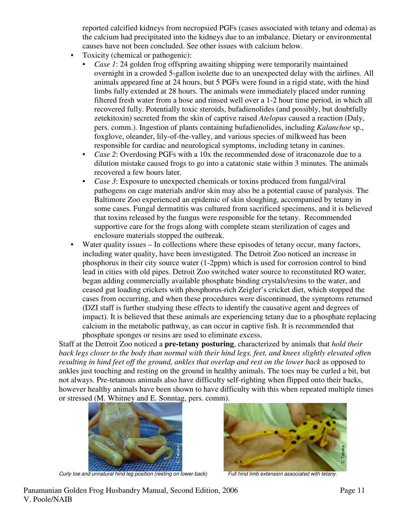reported calcified kidneys from necropsied PGFs (cases associated with tetany and edema) as the calcium had precipitated into the kidneys due to an imbalance. Dietary or environmental causes have not been concluded. See other issues with calcium below.

- Toxicity (chemical or pathogenic):
	- *Case 1*: 24 golden frog offspring awaiting shipping were temporarily maintained overnight in a crowded 5-gallon isolette due to an unexpected delay with the airlines. All animals appeared fine at 24 hours, but 5 PGFs were found in a rigid state, with the hind limbs fully extended at 28 hours. The animals were immediately placed under running filtered fresh water from a hose and rinsed well over a 1-2 hour time period, in which all recovered fully. Potentially toxic steroids, bufadienolides (and possibly, but doubtfully zetekitoxin) secreted from the skin of captive raised *Atelopus* caused a reaction (Daly, pers. comm.). Ingestion of plants containing bufadienolides, including *Kalanchoe* sp., foxglove, oleander, lily-of-the-valley, and various species of milkweed has been responsible for cardiac and neurological symptoms, including tetany in canines.
	- *Case 2*: Overdosing PGFs with a 10x the recommended dose of itraconazole due to a dilution mistake caused frogs to go into a catatonic state within 3 minutes. The animals recovered a few hours later.
	- *Case 3*: Exposure to unexpected chemicals or toxins produced from fungal/viral pathogens on cage materials and/or skin may also be a potential cause of paralysis. The Baltimore Zoo experienced an epidemic of skin sloughing, accompanied by tetany in some cases. Fungal dermatitis was cultured from sacrificed specimens, and it is believed that toxins released by the fungus were responsible for the tetany. Recommended supportive care for the frogs along with complete steam sterilization of cages and enclosure materials stopped the outbreak.
- Water quality issues In collections where these episodes of tetany occur, many factors, including water quality, have been investigated. The Detroit Zoo noticed an increase in phosphorus in their city source water (1-2ppm) which is used for corrosion control to bind lead in cities with old pipes. Detroit Zoo switched water source to reconstituted RO water, began adding commercially available phosphate binding crystals/resins to the water, and ceased gut loading crickets with phosphorus-rich Zeigler's cricket diet, which stopped the cases from occurring, and when these procedures were discontinued, the symptoms returned (DZI staff is further studying these effects to identify the causative agent and degrees of impact). It is believed that these animals are experiencing tetany due to a phosphate replacing calcium in the metabolic pathway, as can occur in captive fish. It is recommended that phosphate sponges or resins are used to eliminate excess.

Staff at the Detroit Zoo noticed a **pre-tetany posturing**, characterized by animals that *hold their back legs closer to the body than normal with their hind legs, feet, and knees slightly elevated often resulting in hind feet off the ground, ankles that overlap and rest on the lower back* as opposed to ankles just touching and resting on the ground in healthy animals. The toes may be curled a bit, but not always. Pre-tetanous animals also have difficulty self-righting when flipped onto their backs, however healthy animals have been shown to have difficulty with this when repeated multiple times or stressed (M. Whitney and E. Sonntag, pers. comm).



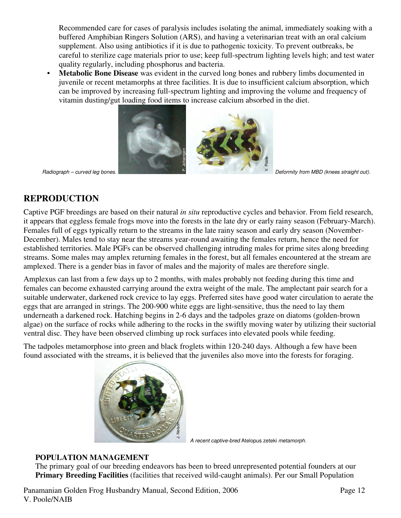Recommended care for cases of paralysis includes isolating the animal, immediately soaking with a buffered Amphibian Ringers Solution (ARS), and having a veterinarian treat with an oral calcium supplement. Also using antibiotics if it is due to pathogenic toxicity. To prevent outbreaks, be careful to sterilize cage materials prior to use; keep full-spectrum lighting levels high; and test water quality regularly, including phosphorus and bacteria.

• **Metabolic Bone Disease** was evident in the curved long bones and rubbery limbs documented in juvenile or recent metamorphs at three facilities. It is due to insufficient calcium absorption, which can be improved by increasing full-spectrum lighting and improving the volume and frequency of vitamin dusting/gut loading food items to increase calcium absorbed in the diet.



# **REPRODUCTION**

Captive PGF breedings are based on their natural *in situ* reproductive cycles and behavior. From field research, it appears that eggless female frogs move into the forests in the late dry or early rainy season (February-March). Females full of eggs typically return to the streams in the late rainy season and early dry season (November-December). Males tend to stay near the streams year-round awaiting the females return, hence the need for established territories. Male PGFs can be observed challenging intruding males for prime sites along breeding streams. Some males may amplex returning females in the forest, but all females encountered at the stream are amplexed. There is a gender bias in favor of males and the majority of males are therefore single. **Primary Breeding Facilities** (facilities that reached wild-caught animals). Per our Small Population<br> **PRODUCTION**<br> **PRODUCTION**<br> **PRODUCTION**<br> **PRODUCTION**<br> **PRODUCTION**<br> **PRODUCTION**<br> **PRODUCTION**<br> **PRODUCTION**<br> **PRODUC** 

Amplexus can last from a few days up to 2 months, with males probably not feeding during this time and females can become exhausted carrying around the extra weight of the male. The amplectant pair search for a suitable underwater, darkened rock crevice to lay eggs. Preferred sites have good water circulation to aerate the eggs that are arranged in strings. The 200-900 white eggs are light-sensitive, thus the need to lay them underneath a darkened rock. Hatching begins in 2-6 days and the tadpoles graze on diatoms (golden-brown algae) on the surface of rocks while adhering to the rocks in the swiftly moving water by utilizing their suctorial ventral disc. They have been observed climbing up rock surfaces into elevated pools while feeding.

The tadpoles metamorphose into green and black froglets within 120-240 days. Although a few have been found associated with the streams, it is believed that the juveniles also move into the forests for foraging.



A recent captive-bred Atelopus zeteki metamorph.

### **POPULATION MANAGEMENT**

The primary goal of our breeding endeavors has been to breed unrepresented potential founders at our

Panamanian Golden Frog Husbandry Manual, Second Edition, 2006 Page 12 V. Poole/NAIB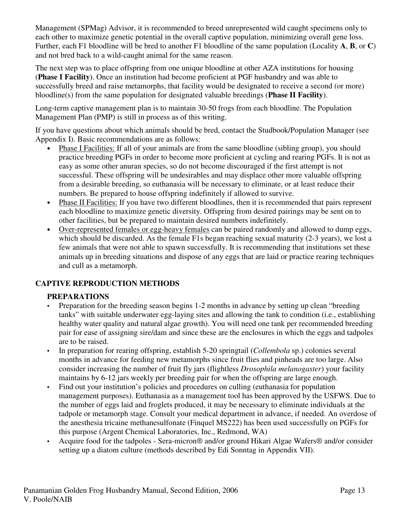Management (SPMag) Advisor, it is recommended to breed unrepresented wild caught specimens only to each other to maximize genetic potential in the overall captive population, minimizing overall gene loss. Further, each F1 bloodline will be bred to another F1 bloodline of the same population (Locality **A**, **B**, or **C**) and not bred back to a wild-caught animal for the same reason.

The next step was to place offspring from one unique bloodline at other AZA institutions for housing (**Phase I Facility**). Once an institution had become proficient at PGF husbandry and was able to successfully breed and raise metamorphs, that facility would be designated to receive a second (or more) bloodline(s) from the same population for designated valuable breedings (**Phase II Facility**).

Long-term captive management plan is to maintain 30-50 frogs from each bloodline. The Population Management Plan (PMP) is still in process as of this writing.

If you have questions about which animals should be bred, contact the Studbook/Population Manager (see Appendix I). Basic recommendations are as follows:

- Phase I Facilities: If all of your animals are from the same bloodline (sibling group), you should practice breeding PGFs in order to become more proficient at cycling and rearing PGFs. It is not as easy as some other anuran species, so do not become discouraged if the first attempt is not successful. These offspring will be undesirables and may displace other more valuable offspring from a desirable breeding, so euthanasia will be necessary to eliminate, or at least reduce their numbers. Be prepared to house offspring indefinitely if allowed to survive.
- Phase II Facilities: If you have two different bloodlines, then it is recommended that pairs represent each bloodline to maximize genetic diversity. Offspring from desired pairings may be sent on to other facilities, but be prepared to maintain desired numbers indefinitely.
- Over-represented females or egg-heavy females can be paired randomly and allowed to dump eggs, which should be discarded. As the female F1s began reaching sexual maturity (2-3 years), we lost a few animals that were not able to spawn successfully. It is recommending that institutions set these animals up in breeding situations and dispose of any eggs that are laid or practice rearing techniques and cull as a metamorph.

## **CAPTIVE REPRODUCTION METHODS**

### **PREPARATIONS**

- Preparation for the breeding season begins 1-2 months in advance by setting up clean "breeding tanks" with suitable underwater egg-laying sites and allowing the tank to condition (i.e., establishing healthy water quality and natural algae growth). You will need one tank per recommended breeding pair for ease of assigning sire/dam and since these are the enclosures in which the eggs and tadpoles are to be raised.
- In preparation for rearing offspring, establish 5-20 springtail (*Collembola* sp.) colonies several months in advance for feeding new metamorphs since fruit flies and pinheads are too large. Also consider increasing the number of fruit fly jars (flightless *Drosophila melanogaster*) your facility maintains by 6-12 jars weekly per breeding pair for when the offspring are large enough.
- Find out your institution's policies and procedures on culling (euthanasia for population management purposes). Euthanasia as a management tool has been approved by the USFWS. Due to the number of eggs laid and froglets produced, it may be necessary to eliminate individuals at the tadpole or metamorph stage. Consult your medical department in advance, if needed. An overdose of the anesthesia tricaine methanesulfonate (Finquel MS222) has been used successfully on PGFs for this purpose (Argent Chemical Laboratories, Inc., Redmond, WA)
- Acquire food for the tadpoles Sera-micron® and/or ground Hikari Algae Wafers® and/or consider setting up a diatom culture (methods described by Edi Sonntag in Appendix VII).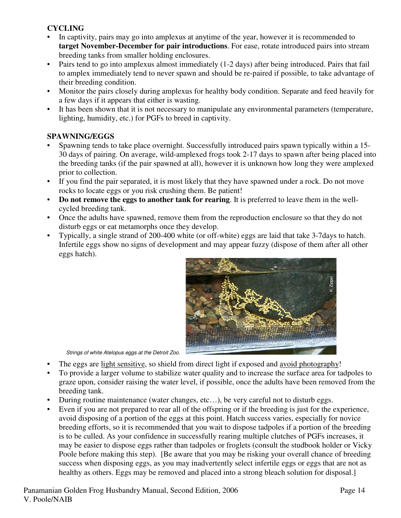### **CYCLING**

- In captivity, pairs may go into amplexus at anytime of the year, however it is recommended to **target November-December for pair introductions**. For ease, rotate introduced pairs into stream breeding tanks from smaller holding enclosures.
- Pairs tend to go into amplexus almost immediately (1-2 days) after being introduced. Pairs that fail to amplex immediately tend to never spawn and should be re-paired if possible, to take advantage of their breeding condition.
- Monitor the pairs closely during amplexus for healthy body condition. Separate and feed heavily for a few days if it appears that either is wasting.
- It has been shown that it is not necessary to manipulate any environmental parameters (temperature, lighting, humidity, etc.) for PGFs to breed in captivity.

## **SPAWNING/EGGS**

- Spawning tends to take place overnight. Successfully introduced pairs spawn typically within a 15- 30 days of pairing. On average, wild-amplexed frogs took 2-17 days to spawn after being placed into the breeding tanks (if the pair spawned at all), however it is unknown how long they were amplexed prior to collection.
- If you find the pair separated, it is most likely that they have spawned under a rock. Do not move rocks to locate eggs or you risk crushing them. Be patient!
- **Do not remove the eggs to another tank for rearing**. It is preferred to leave them in the wellcycled breeding tank.
- Once the adults have spawned, remove them from the reproduction enclosure so that they do not disturb eggs or eat metamorphs once they develop.
- Typically, a single strand of 200-400 white (or off-white) eggs are laid that take 3-7days to hatch. Infertile eggs show no signs of development and may appear fuzzy (dispose of them after all other eggs hatch).



Strings of white Atelopus eggs at the Detroit Zoo.

- The eggs are light sensitive, so shield from direct light if exposed and avoid photography!
- To provide a larger volume to stabilize water quality and to increase the surface area for tadpoles to graze upon, consider raising the water level, if possible, once the adults have been removed from the breeding tank.
- During routine maintenance (water changes, etc…), be very careful not to disturb eggs.
- Even if you are not prepared to rear all of the offspring or if the breeding is just for the experience, avoid disposing of a portion of the eggs at this point. Hatch success varies, especially for novice breeding efforts, so it is recommended that you wait to dispose tadpoles if a portion of the breeding is to be culled. As your confidence in successfully rearing multiple clutches of PGFs increases, it may be easier to dispose eggs rather than tadpoles or froglets (consult the studbook holder or Vicky Poole before making this step). [Be aware that you may be risking your overall chance of breeding success when disposing eggs, as you may inadvertently select infertile eggs or eggs that are not as Strings of white Atelopus eggs at the Detroit Zoo.<br>The eggs are light sensitive, so shield from direct light if exposed and <u>avoid photography</u>!<br>To provide a larger volume to stabilize water quality and to increase the sur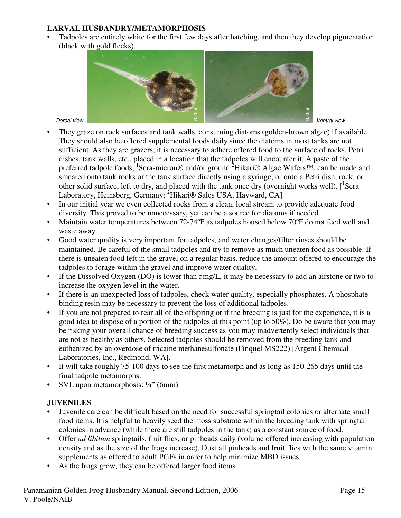## **LARVAL HUSBANDRY/METAMORPHOSIS**

• Tadpoles are entirely white for the first few days after hatching, and then they develop pigmentation (black with gold flecks).



- They graze on rock surfaces and tank walls, consuming diatoms (golden-brown algae) if available. They should also be offered supplemental foods daily since the diatoms in most tanks are not sufficient. As they are grazers, it is necessary to adhere offered food to the surface of rocks, Petri dishes, tank walls, etc., placed in a location that the tadpoles will encounter it. A paste of the preferred tadpole foods, <sup>1</sup>Sera-micron® and/or ground <sup>2</sup>Hikari® Algae Wafers<sup>™</sup>, can be made and smeared onto tank rocks or the tank surface directly using a syringe, or onto a Petri dish, rock, or other solid surface, left to dry, and placed with the tank once dry (overnight works well).  $\left[ \begin{array}{c} 1 \end{array} \right]$ Laboratory, Heinsberg, Germany; <sup>2</sup>Hikari<sup>®</sup> Sales USA, Hayward, CA] **Example 19**<br> **Example 18**<br> **Example 18**<br> **Example 18**<br> **Example 18**<br> **Example 18**<br> **Example 18**<br> **Example 18**<br> **Example 18**<br> **Example 18**<br> **Example 18**<br> **Example 18**<br> **Example 18**<br> **Example 18**<br> **Example 18**<br> **Example 18**
- In our initial year we even collected rocks from a clean, local stream to provide adequate food diversity. This proved to be unnecessary, yet can be a source for diatoms if needed.
- Maintain water temperatures between 72-74°F as tadpoles housed below 70°F do not feed well and waste away.
- Good water quality is very important for tadpoles, and water changes/filter rinses should be maintained. Be careful of the small tadpoles and try to remove as much uneaten food as possible. If there is uneaten food left in the gravel on a regular basis, reduce the amount offered to encourage the tadpoles to forage within the gravel and improve water quality.
- If the Dissolved Oxygen (DO) is lower than 5mg/L, it may be necessary to add an airstone or two to increase the oxygen level in the water.
- If there is an unexpected loss of tadpoles, check water quality, especially phosphates. A phosphate binding resin may be necessary to prevent the loss of additional tadpoles.
- If you are not prepared to rear all of the offspring or if the breeding is just for the experience, it is a good idea to dispose of a portion of the tadpoles at this point (up to 50%). Do be aware that you may be risking your overall chance of breeding success as you may inadvertently select individuals that are not as healthy as others. Selected tadpoles should be removed from the breeding tank and euthanized by an overdose of tricaine methanesulfonate (Finquel MS222) [Argent Chemical Laboratories, Inc., Redmond, WA].
- It will take roughly 75-100 days to see the first metamorph and as long as 150-265 days until the final tadpole metamorphs.
- SVL upon metamorphosis:  $\frac{1}{4}$ " (6mm)

### **JUVENILES**

- Juvenile care can be difficult based on the need for successful springtail colonies or alternate small food items. It is helpful to heavily seed the moss substrate within the breeding tank with springtail colonies in advance (while there are still tadpoles in the tank) as a constant source of food.
- Offer *ad libitum* springtails, fruit flies, or pinheads daily (volume offered increasing with population density and as the size of the frogs increase). Dust all pinheads and fruit flies with the same vitamin supplements as offered to adult PGFs in order to help minimize MBD issues.
-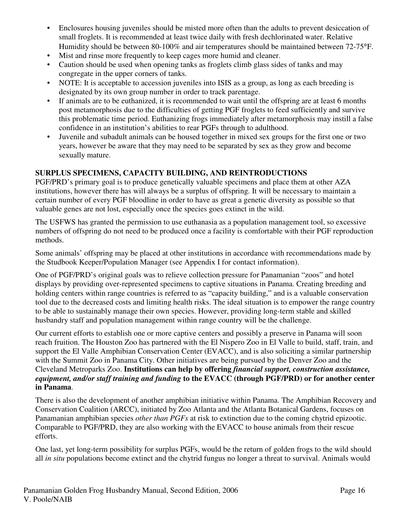- Enclosures housing juveniles should be misted more often than the adults to prevent desiccation of small froglets. It is recommended at least twice daily with fresh dechlorinated water. Relative Humidity should be between 80-100% and air temperatures should be maintained between 72-75°F.
- Mist and rinse more frequently to keep cages more humid and cleaner.
- Caution should be used when opening tanks as froglets climb glass sides of tanks and may congregate in the upper corners of tanks.
- NOTE: It is acceptable to accession juveniles into ISIS as a group, as long as each breeding is designated by its own group number in order to track parentage.
- If animals are to be euthanized, it is recommended to wait until the offspring are at least 6 months post metamorphosis due to the difficulties of getting PGF froglets to feed sufficiently and survive this problematic time period. Euthanizing frogs immediately after metamorphosis may instill a false confidence in an institution's abilities to rear PGFs through to adulthood.
- Juvenile and subadult animals can be housed together in mixed sex groups for the first one or two years, however be aware that they may need to be separated by sex as they grow and become sexually mature.

## **SURPLUS SPECIMENS, CAPACITY BUILDING, AND REINTRODUCTIONS**

PGF/PRD's primary goal is to produce genetically valuable specimens and place them at other AZA institutions, however there has will always be a surplus of offspring. It will be necessary to maintain a certain number of every PGF bloodline in order to have as great a genetic diversity as possible so that valuable genes are not lost, especially once the species goes extinct in the wild.

The USFWS has granted the permission to use euthanasia as a population management tool, so excessive numbers of offspring do not need to be produced once a facility is comfortable with their PGF reproduction methods.

Some animals' offspring may be placed at other institutions in accordance with recommendations made by the Studbook Keeper/Population Manager (see Appendix I for contact information).

One of PGF/PRD's original goals was to relieve collection pressure for Panamanian "zoos" and hotel displays by providing over-represented specimens to captive situations in Panama. Creating breeding and holding centers within range countries is referred to as "capacity building," and is a valuable conservation tool due to the decreased costs and limiting health risks. The ideal situation is to empower the range country to be able to sustainably manage their own species. However, providing long-term stable and skilled husbandry staff and population management within range country will be the challenge.

Our current efforts to establish one or more captive centers and possibly a preserve in Panama will soon reach fruition. The Houston Zoo has partnered with the El Nispero Zoo in El Valle to build, staff, train, and support the El Valle Amphibian Conservation Center (EVACC), and is also soliciting a similar partnership with the Summit Zoo in Panama City. Other initiatives are being pursued by the Denver Zoo and the Cleveland Metroparks Zoo. **Institutions can help by offering** *financial support, construction assistance, equipment, and/or staff training and funding* **to the EVACC (through PGF/PRD) or for another center in Panama**.

There is also the development of another amphibian initiative within Panama. The Amphibian Recovery and Conservation Coalition (ARCC), initiated by Zoo Atlanta and the Atlanta Botanical Gardens, focuses on Panamanian amphibian species *other than PGFs* at risk to extinction due to the coming chytrid epizootic. Comparable to PGF/PRD, they are also working with the EVACC to house animals from their rescue efforts.

One last, yet long-term possibility for surplus PGFs, would be the return of golden frogs to the wild should all *in situ* populations become extinct and the chytrid fungus no longer a threat to survival. Animals would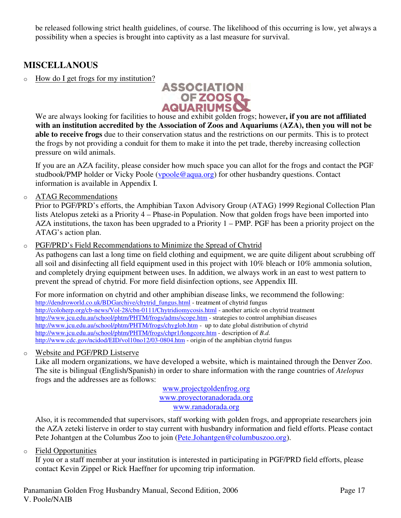be released following strict health guidelines, of course. The likelihood of this occurring is low, yet always a possibility when a species is brought into captivity as a last measure for survival.

# **MISCELLANOUS**

o How do I get frogs for my institution?



We are always looking for facilities to house and exhibit golden frogs; however**, if you are not affiliated with an institution accredited by the Association of Zoos and Aquariums (AZA), then you will not be able to receive frogs** due to their conservation status and the restrictions on our permits. This is to protect the frogs by not providing a conduit for them to make it into the pet trade, thereby increasing collection pressure on wild animals.

If you are an AZA facility, please consider how much space you can allot for the frogs and contact the PGF studbook/PMP holder or Vicky Poole (vpoole@aqua.org) for other husbandry questions. Contact information is available in Appendix I.

o ATAG Recommendations

Prior to PGF/PRD's efforts, the Amphibian Taxon Advisory Group (ATAG) 1999 Regional Collection Plan lists Atelopus zeteki as a Priority 4 – Phase-in Population. Now that golden frogs have been imported into AZA institutions, the taxon has been upgraded to a Priority 1 – PMP. PGF has been a priority project on the ATAG's action plan.

o PGF/PRD's Field Recommendations to Minimize the Spread of Chytrid

As pathogens can last a long time on field clothing and equipment, we are quite diligent about scrubbing off all soil and disinfecting all field equipment used in this project with 10% bleach or 10% ammonia solution, and completely drying equipment between uses. In addition, we always work in an east to west pattern to prevent the spread of chytrid. For more field disinfection options, see Appendix III.

For more information on chytrid and other amphibian disease links, we recommend the following: http://dendroworld.co.uk/BDGarchive/chytrid\_fungus.html - treatment of chytrid fungus http://coloherp.org/cb-news/Vol-28/cbn-0111/Chytridiomycosis.html - another article on chytrid treatment http://www.jcu.edu.au/school/phtm/PHTM/frogs/adms/scope.htm - strategies to control amphibian diseases http://www.jcu.edu.au/school/phtm/PHTM/frogs/chyglob.htm - up to date global distribution of chytrid http://www.jcu.edu.au/school/phtm/PHTM/frogs/chpr1/longcore.htm - description of *B.d.*  http://www.cdc.gov/ncidod/EID/vol10no12/03-0804.htm - origin of the amphibian chytrid fungus

o Website and PGF/PRD Listserve

Like all modern organizations, we have developed a website, which is maintained through the Denver Zoo. The site is bilingual (English/Spanish) in order to share information with the range countries of *Atelopus* frogs and the addresses are as follows:

> www.projectgoldenfrog.org www.proyectoranadorada.org www.ranadorada.org

Also, it is recommended that supervisors, staff working with golden frogs, and appropriate researchers join the AZA zeteki listerve in order to stay current with husbandry information and field efforts. Please contact Pete Johantgen at the Columbus Zoo to join (Pete.Johantgen@columbuszoo.org).

o Field Opportunities

If you or a staff member at your institution is interested in participating in PGF/PRD field efforts, please contact Kevin Zippel or Rick Haeffner for upcoming trip information.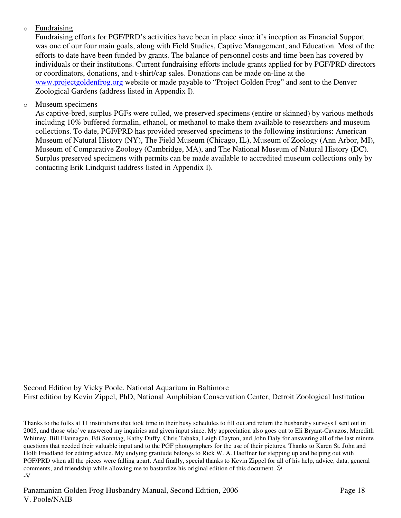### o Fundraising

Fundraising efforts for PGF/PRD's activities have been in place since it's inception as Financial Support was one of our four main goals, along with Field Studies, Captive Management, and Education. Most of the efforts to date have been funded by grants. The balance of personnel costs and time been has covered by individuals or their institutions. Current fundraising efforts include grants applied for by PGF/PRD directors or coordinators, donations, and t-shirt/cap sales. Donations can be made on-line at the www.projectgoldenfrog.org website or made payable to "Project Golden Frog" and sent to the Denver Zoological Gardens (address listed in Appendix I).

## o Museum specimens

As captive-bred, surplus PGFs were culled, we preserved specimens (entire or skinned) by various methods including 10% buffered formalin, ethanol, or methanol to make them available to researchers and museum collections. To date, PGF/PRD has provided preserved specimens to the following institutions: American Museum of Natural History (NY), The Field Museum (Chicago, IL), Museum of Zoology (Ann Arbor, MI), Museum of Comparative Zoology (Cambridge, MA), and The National Museum of Natural History (DC). Surplus preserved specimens with permits can be made available to accredited museum collections only by contacting Erik Lindquist (address listed in Appendix I).

Second Edition by Vicky Poole, National Aquarium in Baltimore First edition by Kevin Zippel, PhD, National Amphibian Conservation Center, Detroit Zoological Institution

Thanks to the folks at 11 institutions that took time in their busy schedules to fill out and return the husbandry surveys I sent out in 2005, and those who've answered my inquiries and given input since. My appreciation also goes out to Eli Bryant-Cavazos, Meredith Whitney, Bill Flannagan, Edi Sonntag, Kathy Duffy, Chris Tabaka, Leigh Clayton, and John Daly for answering all of the last minute questions that needed their valuable input and to the PGF photographers for the use of their pictures. Thanks to Karen St. John and Holli Friedland for editing advice. My undying gratitude belongs to Rick W. A. Haeffner for stepping up and helping out with PGF/PRD when all the pieces were falling apart. And finally, special thanks to Kevin Zippel for all of his help, advice, data, general comments, and friendship while allowing me to bastardize his original edition of this document. © -V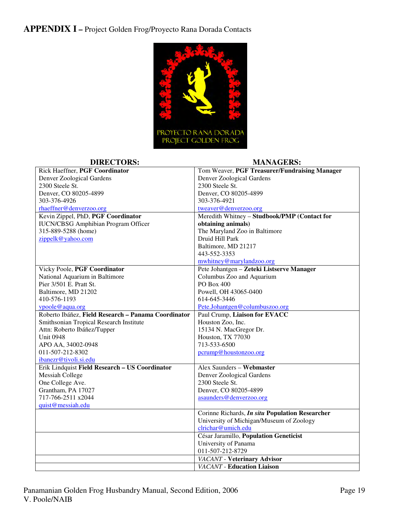**APPENDIX I –** Project Golden Frog/Proyecto Rana Dorada Contacts



| <b>DIRECTORS:</b>                                   | <b>MANAGERS:</b>                                       |  |  |  |
|-----------------------------------------------------|--------------------------------------------------------|--|--|--|
| Rick Haeffner, PGF Coordinator                      | Tom Weaver, PGF Treasurer/Fundraising Manager          |  |  |  |
| Denver Zoological Gardens                           | Denver Zoological Gardens                              |  |  |  |
| 2300 Steele St.                                     | 2300 Steele St.                                        |  |  |  |
| Denver, CO 80205-4899                               | Denver, CO 80205-4899                                  |  |  |  |
| 303-376-4926                                        | 303-376-4921                                           |  |  |  |
| rhaeffner@denverzoo.org                             | tweaver@denverzoo.org                                  |  |  |  |
| Kevin Zippel, PhD, PGF Coordinator                  | Meredith Whitney - Studbook/PMP (Contact for           |  |  |  |
| <b>IUCN/CBSG Amphibian Program Officer</b>          | obtaining animals)                                     |  |  |  |
| 315-889-5288 (home)                                 | The Maryland Zoo in Baltimore                          |  |  |  |
| zippelk@yahoo.com                                   | Druid Hill Park                                        |  |  |  |
|                                                     | Baltimore, MD 21217                                    |  |  |  |
|                                                     | 443-552-3353                                           |  |  |  |
|                                                     | mwhitney@marylandzoo.org                               |  |  |  |
| Vicky Poole, PGF Coordinator                        | Pete Johantgen - Zeteki Listserve Manager              |  |  |  |
| National Aquarium in Baltimore                      | Columbus Zoo and Aquarium                              |  |  |  |
| Pier 3/501 E. Pratt St.                             | PO Box 400                                             |  |  |  |
| Baltimore, MD 21202                                 | Powell, OH 43065-0400                                  |  |  |  |
| 410-576-1193                                        | 614-645-3446                                           |  |  |  |
| vpoole@aqua.org                                     | Pete.Johantgen@columbuszoo.org                         |  |  |  |
| Roberto Ibáñez, Field Research - Panama Coordinator | Paul Crump, Liaison for EVACC                          |  |  |  |
| Smithsonian Tropical Research Institute             | Houston Zoo, Inc.                                      |  |  |  |
| Attn: Roberto Ibáñez/Tupper                         | 15134 N. MacGregor Dr.                                 |  |  |  |
| <b>Unit 0948</b>                                    | Houston, TX 77030                                      |  |  |  |
| APO AA, 34002-0948                                  | 713-533-6500                                           |  |  |  |
| 011-507-212-8302                                    | pcrump@houstonzoo.org                                  |  |  |  |
| ibanezr@tivoli.si.edu                               |                                                        |  |  |  |
| Erik Lindquist Field Research - US Coordinator      | Alex Saunders - Webmaster                              |  |  |  |
| <b>Messiah College</b>                              | Denver Zoological Gardens                              |  |  |  |
| One College Ave.                                    | 2300 Steele St.                                        |  |  |  |
| Grantham, PA 17027                                  | Denver, CO 80205-4899                                  |  |  |  |
| 717-766-2511 x2044                                  | asaunders@denverzoo.org                                |  |  |  |
| quist@messiah.edu                                   |                                                        |  |  |  |
|                                                     | Corinne Richards, <i>In situ</i> Population Researcher |  |  |  |
|                                                     | University of Michigan/Museum of Zoology               |  |  |  |
|                                                     | clrichar@umich.edu                                     |  |  |  |
|                                                     | César Jaramillo, Population Geneticist                 |  |  |  |
|                                                     | University of Panama                                   |  |  |  |
|                                                     | 011-507-212-8729                                       |  |  |  |
|                                                     | <b>VACANT</b> - Veterinary Advisor                     |  |  |  |
|                                                     | <b>VACANT</b> - Education Liaison                      |  |  |  |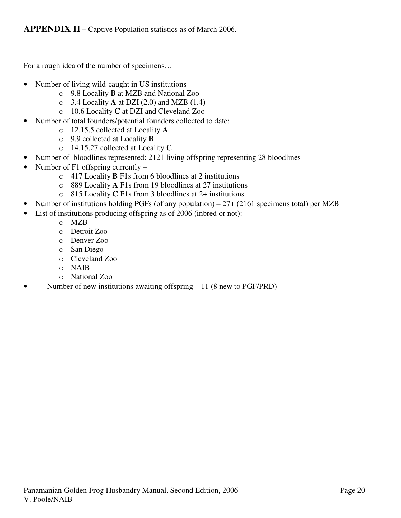For a rough idea of the number of specimens…

- Number of living wild-caught in US institutions
	- o 9.8 Locality **B** at MZB and National Zoo
	- o 3.4 Locality **A** at DZI (2.0) and MZB (1.4)
	- o 10.6 Locality **C** at DZI and Cleveland Zoo
- Number of total founders/potential founders collected to date:
	- o 12.15.5 collected at Locality **A**
	- o 9.9 collected at Locality **B**
	- o 14.15.27 collected at Locality **C**
- Number of bloodlines represented: 2121 living offspring representing 28 bloodlines
- Number of F1 offspring currently
	- o 417 Locality **B** F1s from 6 bloodlines at 2 institutions
	- o 889 Locality **A** F1s from 19 bloodlines at 27 institutions
	- o 815 Locality **C** F1s from 3 bloodlines at 2+ institutions
- Number of institutions holding PGFs (of any population) 27+ (2161 specimens total) per MZB
- List of institutions producing offspring as of 2006 (inbred or not):
	- o MZB
	- o Detroit Zoo
	- o Denver Zoo
	- o San Diego
	- o Cleveland Zoo
	- o NAIB
	- o National Zoo
- Number of new institutions awaiting offspring 11 (8 new to PGF/PRD)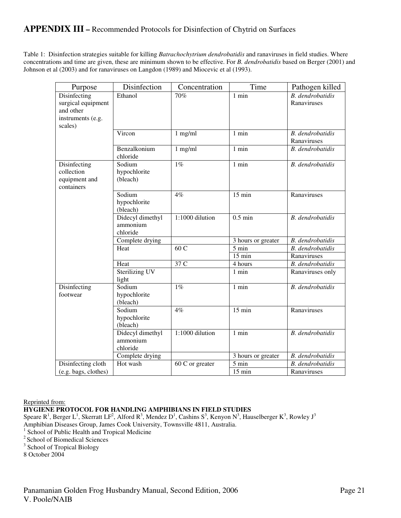## **APPENDIX III –** Recommended Protocols for Disinfection of Chytrid on Surfaces

Table 1: Disinfection strategies suitable for killing *Batrachochytrium dendrobatidis* and ranaviruses in field studies. Where concentrations and time are given, these are minimum shown to be effective. For *B. dendrobatidis* based on Berger (2001) and Johnson et al (2003) and for ranaviruses on Langdon (1989) and Miocevic et al (1993).

| Purpose                                                                         | Disinfection                             | Concentration    | Time               | Pathogen killed                 |  |
|---------------------------------------------------------------------------------|------------------------------------------|------------------|--------------------|---------------------------------|--|
| Disinfecting<br>surgical equipment<br>and other<br>instruments (e.g.<br>scales) | Ethanol                                  | 70%              | $1$ min            | B. dendrobatidis<br>Ranaviruses |  |
|                                                                                 | Vircon                                   | $1$ mg/ml        | 1 min              |                                 |  |
|                                                                                 | Benzalkonium<br>chloride                 | $1$ mg/ml        | 1 min              | <b>B.</b> dendrobatidis         |  |
| Disinfecting<br>collection<br>equipment and<br>containers                       | Sodium<br>hypochlorite<br>(bleach)       | $1\%$            | $1$ min            | <b>B.</b> dendrobatidis         |  |
|                                                                                 | Sodium<br>hypochlorite<br>(bleach)       | 4%               | $15 \text{ min}$   | Ranaviruses                     |  |
|                                                                                 | Didecyl dimethyl<br>ammonium<br>chloride | 1:1000 dilution  | $0.5$ min          | <b>B.</b> dendrobatidis         |  |
|                                                                                 | Complete drying                          |                  | 3 hours or greater | <b>B.</b> dendrobatidis         |  |
|                                                                                 | Heat                                     | 60C              | $\overline{5}$ min | <b>B.</b> dendrobatidis         |  |
|                                                                                 |                                          |                  | $15 \text{ min}$   | Ranaviruses                     |  |
|                                                                                 | Heat                                     | 37 C             | 4 hours            | B. dendrobatidis                |  |
|                                                                                 | Sterilizing UV<br>light                  |                  | $1$ min            | Ranaviruses only                |  |
| Disinfecting<br>footwear                                                        | Sodium<br>hypochlorite<br>(bleach)       | $1\%$            | $1$ min            | <b>B.</b> dendrobatidis         |  |
|                                                                                 | Sodium<br>hypochlorite<br>(bleach)       | $\overline{4\%}$ | $15 \text{ min}$   | Ranaviruses                     |  |
|                                                                                 | Didecyl dimethyl<br>ammonium<br>chloride | 1:1000 dilution  | $1$ min            | <b>B.</b> dendrobatidis         |  |
|                                                                                 | Complete drying                          |                  | 3 hours or greater | <b>B.</b> dendrobatidis         |  |
| Disinfecting cloth                                                              | Hot wash                                 | 60 C or greater  | $5 \text{ min}$    | B. dendrobatidis                |  |
| (e.g. bags, clothes)                                                            |                                          |                  | $15 \text{ min}$   | Ranaviruses                     |  |

Reprinted from:

**HYGIENE PROTOCOL FOR HANDLING AMPHIBIANS IN FIELD STUDIES** 

Speare R<sup>1</sup>, Berger L<sup>1</sup>, Skerratt LF<sup>2</sup>, Alford R<sup>3</sup>, Mendez D<sup>1</sup>, Cashins S<sup>3</sup>, Kenyon N<sup>3</sup>, Hauselberger K<sup>3</sup>, Rowley J<sup>3</sup> Amphibian Diseases Group, James Cook University, Townsville 4811, Australia. <sup>1</sup> School of Public Health and Tropical Medicine

<sup>2</sup> School of Biomedical Sciences

<sup>3</sup> School of Tropical Biology

8 October 2004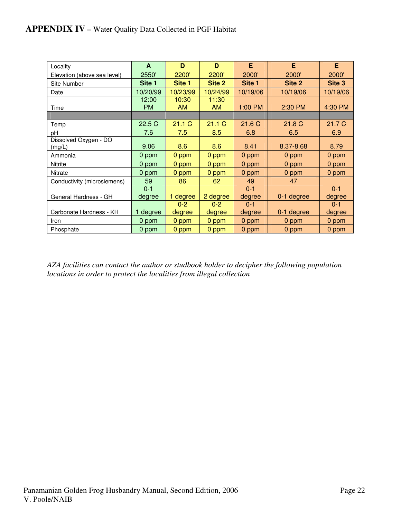| Locality                        | A           | D                  | D                  | E        | E          | E        |
|---------------------------------|-------------|--------------------|--------------------|----------|------------|----------|
| Elevation (above sea level)     | 2550'       | 2200'              | 2200'              | 2000'    | 2000'      | 2000'    |
| Site Number                     | Site 1      | Site 1             | Site 2             | Site 1   | Site 2     | Site 3   |
| Date                            | 10/20/99    | 10/23/99           | 10/24/99           | 10/19/06 | 10/19/06   | 10/19/06 |
| Time                            | 12:00<br>PM | 10:30<br><b>AM</b> | 11:30<br><b>AM</b> | 1:00 PM  | 2:30 PM    | 4:30 PM  |
|                                 |             |                    |                    |          |            |          |
| Temp                            | 22.5 C      | 21.1C              | 21.1C              | 21.6 C   | 21.8 C     | 21.7 C   |
| рH                              | 7.6         | 7.5                | 8.5                | 6.8      | 6.5        | 6.9      |
| Dissolved Oxygen - DO<br>(mg/L) | 9.06        | 8.6                | 8.6                | 8.41     | 8.37-8.68  | 8.79     |
| Ammonia                         | 0 ppm       | 0 ppm              | 0 ppm              | 0 ppm    | 0 ppm      | 0 ppm    |
| Nitrite                         | 0 ppm       | 0 ppm              | 0 ppm              | 0 ppm    | 0 ppm      | 0 ppm    |
| Nitrate                         | 0 ppm       | 0 ppm              | 0 ppm              | 0 ppm    | 0 ppm      | 0 ppm    |
| Conductivity (microsiemens)     | 59          | 86                 | 62                 | 49       | 47         |          |
|                                 | $0 - 1$     |                    |                    | $0 - 1$  |            | $0 - 1$  |
| General Hardness - GH           | degree      | 1 degree           | 2 degree           | degree   | 0-1 degree | degree   |
|                                 |             | $0 - 2$            | $0 - 2$            | $0 - 1$  |            | $0 - 1$  |
| Carbonate Hardness - KH         | 1 degree    | degree             | degree             | degree   | 0-1 degree | degree   |
| Iron                            | 0 ppm       | 0 ppm              | 0 ppm              | 0 ppm    | 0 ppm      | 0 ppm    |
| Phosphate                       | 0 ppm       | 0 ppm              | 0 ppm              | 0 ppm    | 0 ppm      | 0 ppm    |

*AZA facilities can contact the author or studbook holder to decipher the following population locations in order to protect the localities from illegal collection*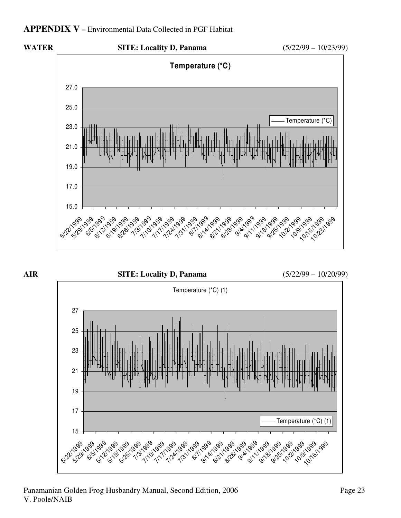## **APPENDIX V –** Environmental Data Collected in PGF Habitat



**AIR SITE: Locality D, Panama** (5/22/99 – 10/20/99) Temperature (\*C) (1) 15 17 19 21 23 25 27 512/1999 999 99,09,09,09 6/29/29/99 19199 1101999 1/1/1999 1/24/1999 1/31/1999 **8/1/1999** 14/1999 8/21/1999 8/28/1999 19/4/1999 911/1999 191996 19/1995 11/1995 10/1999 099 Temperature (\*C) (1)

#### Panamanian Golden Frog Husbandry Manual, Second Edition, 2006 Page 23 V. Poole/NAIB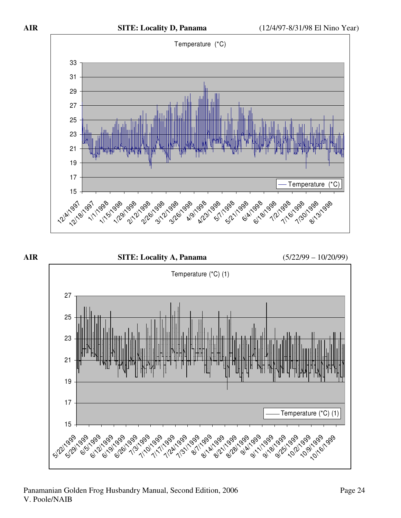





#### Panamanian Golden Frog Husbandry Manual, Second Edition, 2006 Page 24 V. Poole/NAIB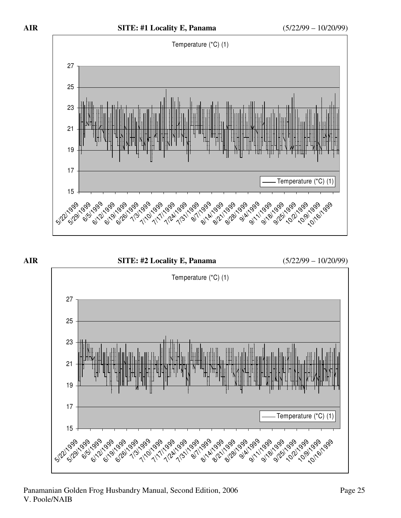



#### Panamanian Golden Frog Husbandry Manual, Second Edition, 2006 Page 25 V. Poole/NAIB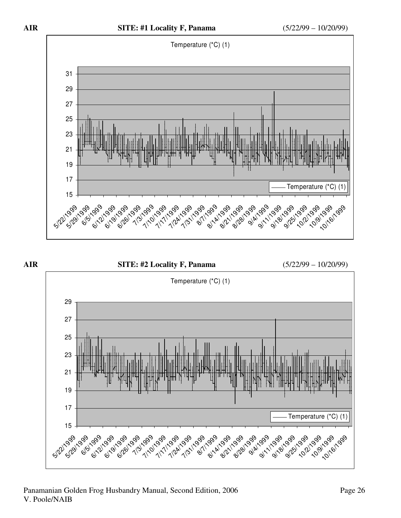











#### Panamanian Golden Frog Husbandry Manual, Second Edition, 2006 Page 26 V. Poole/NAIB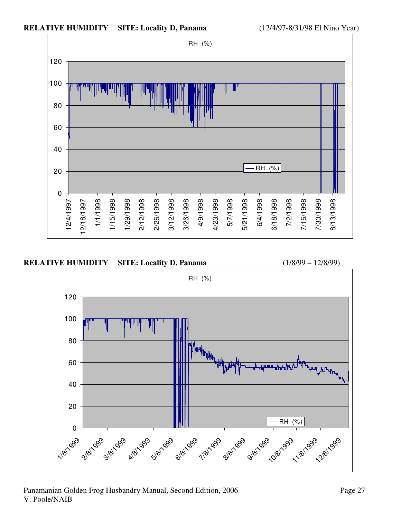







#### Panamanian Golden Frog Husbandry Manual, Second Edition, 2006 Page 27 V. Poole/NAIB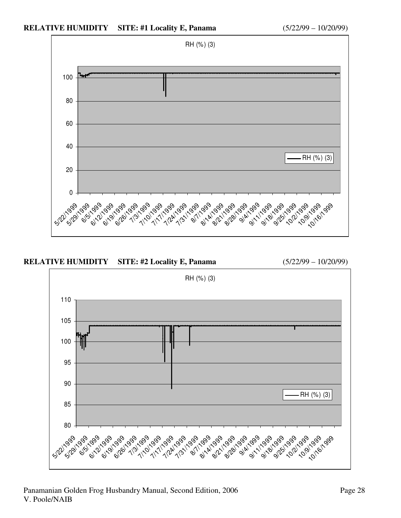



Panamanian Golden Frog Husbandry Manual, Second Edition, 2006 Page 28 V. Poole/NAIB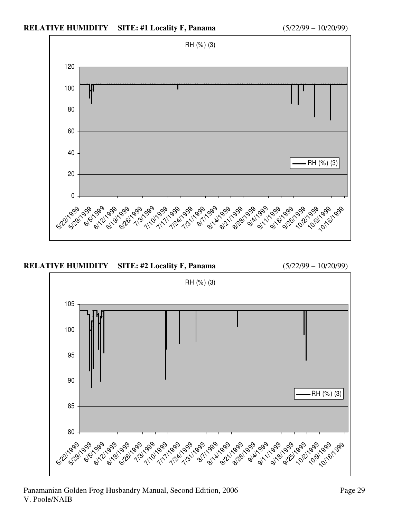



#### Panamanian Golden Frog Husbandry Manual, Second Edition, 2006 Page 29 V. Poole/NAIB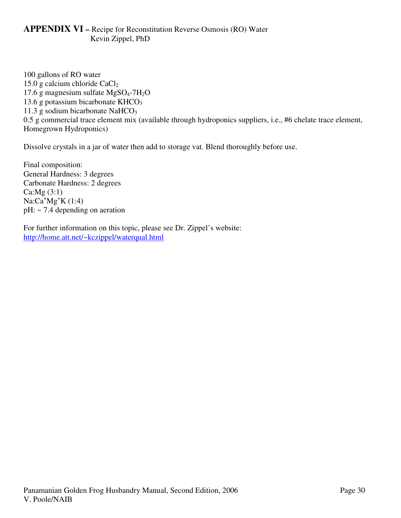## **APPENDIX VI –** Recipe for Reconstitution Reverse Osmosis (RO) Water Kevin Zippel, PhD

100 gallons of RO water 15.0 g calcium chloride  $CaCl<sub>2</sub>$ 17.6 g magnesium sulfate  $MgSO<sub>4</sub>$ -7H<sub>2</sub>O 13.6 g potassium bicarbonate  $KHCO<sub>3</sub>$ 11.3 g sodium bicarbonate NaHCO<sub>3</sub> 0.5 g commercial trace element mix (available through hydroponics suppliers, i.e., #6 chelate trace element, Homegrown Hydroponics)

Dissolve crystals in a jar of water then add to storage vat. Blend thoroughly before use.

Final composition: General Hardness: 3 degrees Carbonate Hardness: 2 degrees Ca:Mg (3:1)  $Na:Ca^{+}Mg^{+}K(1:4)$ pH: ~ 7.4 depending on aeration

For further information on this topic, please see Dr. Zippel's website: http://home.att.net/~kczippel/waterqual.html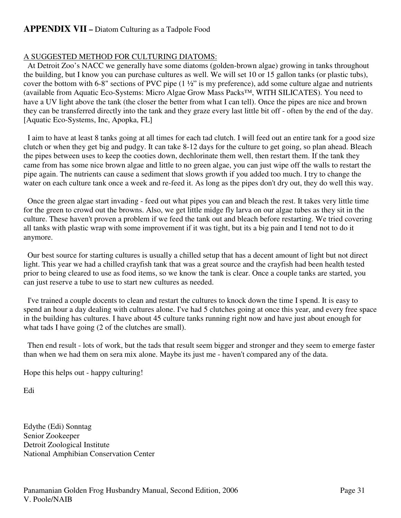## **APPENDIX VII –** Diatom Culturing as a Tadpole Food

### A SUGGESTED METHOD FOR CULTURING DIATOMS:

 At Detroit Zoo's NACC we generally have some diatoms (golden-brown algae) growing in tanks throughout the building, but I know you can purchase cultures as well. We will set 10 or 15 gallon tanks (or plastic tubs), cover the bottom with 6-8" sections of PVC pipe (1 ½" is my preference), add some culture algae and nutrients (available from Aquatic Eco-Systems: Micro Algae Grow Mass Packs™, WITH SILICATES). You need to have a UV light above the tank (the closer the better from what I can tell). Once the pipes are nice and brown they can be transferred directly into the tank and they graze every last little bit off - often by the end of the day. [Aquatic Eco-Systems, Inc, Apopka, FL]

 I aim to have at least 8 tanks going at all times for each tad clutch. I will feed out an entire tank for a good size clutch or when they get big and pudgy. It can take 8-12 days for the culture to get going, so plan ahead. Bleach the pipes between uses to keep the cooties down, dechlorinate them well, then restart them. If the tank they came from has some nice brown algae and little to no green algae, you can just wipe off the walls to restart the pipe again. The nutrients can cause a sediment that slows growth if you added too much. I try to change the water on each culture tank once a week and re-feed it. As long as the pipes don't dry out, they do well this way.

 Once the green algae start invading - feed out what pipes you can and bleach the rest. It takes very little time for the green to crowd out the browns. Also, we get little midge fly larva on our algae tubes as they sit in the culture. These haven't proven a problem if we feed the tank out and bleach before restarting. We tried covering all tanks with plastic wrap with some improvement if it was tight, but its a big pain and I tend not to do it anymore.

 Our best source for starting cultures is usually a chilled setup that has a decent amount of light but not direct light. This year we had a chilled crayfish tank that was a great source and the crayfish had been health tested prior to being cleared to use as food items, so we know the tank is clear. Once a couple tanks are started, you can just reserve a tube to use to start new cultures as needed.

 I've trained a couple docents to clean and restart the cultures to knock down the time I spend. It is easy to spend an hour a day dealing with cultures alone. I've had 5 clutches going at once this year, and every free space in the building has cultures. I have about 45 culture tanks running right now and have just about enough for what tads I have going (2 of the clutches are small).

 Then end result - lots of work, but the tads that result seem bigger and stronger and they seem to emerge faster than when we had them on sera mix alone. Maybe its just me - haven't compared any of the data.

Hope this helps out - happy culturing!

Edi

Edythe (Edi) Sonntag Senior Zookeeper Detroit Zoological Institute National Amphibian Conservation Center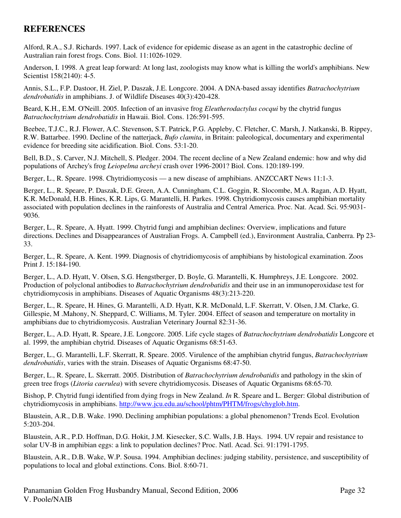## **REFERENCES**

Alford, R.A., S.J. Richards. 1997. Lack of evidence for epidemic disease as an agent in the catastrophic decline of Australian rain forest frogs. Cons. Biol. 11:1026-1029.

Anderson, I. 1998. A great leap forward: At long last, zoologists may know what is killing the world's amphibians. New Scientist 158(2140): 4-5.

Annis, S.L., F.P. Dastoor, H. Ziel, P. Daszak, J.E. Longcore. 2004. A DNA-based assay identifies *Batrachochytrium dendrobatidis* in amphibians. J. of Wildlife Diseases 40(3):420-428.

Beard, K.H., E.M. O'Neill. 2005. Infection of an invasive frog *Eleutherodactylus cocqui* by the chytrid fungus *Batrachochytrium dendrobatidis* in Hawaii. Biol. Cons. 126:591-595.

Beebee, T.J.C., R.J. Flower, A.C. Stevenson, S.T. Patrick, P.G. Appleby, C. Fletcher, C. Marsh, J. Natkanski, B. Rippey, R.W. Battarbee. 1990. Decline of the natterjack, *Bufo clamita*, in Britain: paleological, documentary and experimental evidence for breeding site acidification. Biol. Cons. 53:1-20.

Bell, B.D., S. Carver, N.J. Mitchell, S. Pledger. 2004. The recent decline of a New Zealand endemic: how and why did populations of Archey's frog *Leiopelma archeyi* crash over 1996-2001? Biol. Cons. 120:189-199.

Berger, L., R. Speare. 1998. Chytridiomycosis — a new disease of amphibians. ANZCCART News 11:1-3.

Berger, L., R. Speare, P. Daszak, D.E. Green, A.A. Cunningham, C.L. Goggin, R. Slocombe, M.A. Ragan, A.D. Hyatt, K.R. McDonald, H.B. Hines, K.R. Lips, G. Marantelli, H. Parkes. 1998. Chytridiomycosis causes amphibian mortality associated with population declines in the rainforests of Australia and Central America. Proc. Nat. Acad. Sci. 95:9031- 9036.

Berger, L., R. Speare, A. Hyatt. 1999. Chytrid fungi and amphibian declines: Overview, implications and future directions. Declines and Disappearances of Australian Frogs. A. Campbell (ed.), Environment Australia, Canberra. Pp 23- 33.

Berger, L., R. Speare, A. Kent. 1999. Diagnosis of chytridiomycosis of amphibians by histological examination. Zoos Print J. 15:184-190.

Berger, L., A.D. Hyatt, V. Olsen, S.G. Hengstberger, D. Boyle, G. Marantelli, K. Humphreys, J.E. Longcore. 2002. Production of polyclonal antibodies to *Batrachochytrium dendrobatidis* and their use in an immunoperoxidase test for chytridiomycosis in amphibians. Diseases of Aquatic Organisms 48(3):213-220.

Berger, L., R. Speare, H. Hines, G. Marantelli, A.D. Hyatt, K.R. McDonald, L.F. Skerratt, V. Olsen, J.M. Clarke, G. Gillespie, M .Mahony, N. Sheppard, C. Williams, M. Tyler. 2004. Effect of season and temperature on mortality in amphibians due to chytridiomycosis. Australian Veterinary Journal 82:31-36.

Berger, L., A.D. Hyatt, R. Speare, J.E. Longcore. 2005. Life cycle stages of *Batrachochytrium dendrobatidis* Longcore et al. 1999, the amphibian chytrid. Diseases of Aquatic Organisms 68:51-63.

Berger, L., G. Marantelli, L.F. Skerratt, R. Speare. 2005. Virulence of the amphibian chytrid fungus, *Batrachochytrium dendrobatidis*, varies with the strain. Diseases of Aquatic Organisms 68:47-50.

Berger, L., R. Speare, L. Skerratt. 2005. Distribution of *Batrachochytrium dendrobatidis* and pathology in the skin of green tree frogs (*Litoria caerulea*) with severe chytridiomycosis. Diseases of Aquatic Organisms 68:65-70.

Bishop, P. Chytrid fungi identified from dying frogs in New Zealand. *In* R. Speare and L. Berger: Global distribution of chytridiomycosis in amphibians. http://www.jcu.edu.au/school/phtm/PHTM/frogs/chyglob.htm.

Blaustein, A.R., D.B. Wake. 1990. Declining amphibian populations: a global phenomenon? Trends Ecol. Evolution 5:203-204.

Blaustein, A.R., P.D. Hoffman, D.G. Hokit, J.M. Kiesecker, S.C. Walls, J.B. Hays. 1994. UV repair and resistance to solar UV-B in amphibian eggs: a link to population declines? Proc. Natl. Acad. Sci. 91:1791-1795.

Blaustein, A.R., D.B. Wake, W.P. Sousa. 1994. Amphibian declines: judging stability, persistence, and susceptibility of populations to local and global extinctions. Cons. Biol. 8:60-71.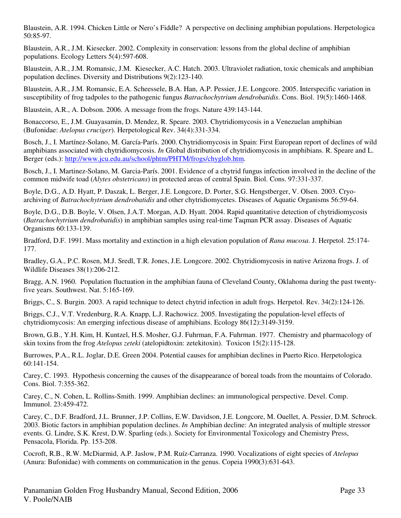Blaustein, A.R. 1994. Chicken Little or Nero's Fiddle? A perspective on declining amphibian populations. Herpetologica 50:85-97.

Blaustein, A.R., J.M. Kiesecker. 2002. Complexity in conservation: lessons from the global decline of amphibian populations. Ecology Letters 5(4):597-608.

Blaustein, A.R., J.M. Romansic, J.M. Kiesecker, A.C. Hatch. 2003. Ultraviolet radiation, toxic chemicals and amphibian population declines. Diversity and Distributions 9(2):123-140.

Blaustein, A.R., J.M. Romansic, E.A. Scheessele, B.A. Han, A.P. Pessier, J.E. Longcore. 2005. Interspecific variation in susceptibility of frog tadpoles to the pathogenic fungus *Batrachochytrium dendrobatidis*. Cons. Biol. 19(5):1460-1468.

Blaustein, A.R., A. Dobson. 2006. A message from the frogs. Nature 439:143-144.

Bonaccorso, E., J.M. Guayasamin, D. Mendez, R. Speare. 2003. Chytridiomycosis in a Venezuelan amphibian (Bufonidae: *Atelopus cruciger*). Herpetological Rev. 34(4):331-334.

Bosch, J., I. Martínez-Solano, M. García-París. 2000. Chytridiomycosis in Spain: First European report of declines of wild amphibians associated with chytridiomycosis. *In* Global distribution of chytridiomycosis in amphibians. R. Speare and L. Berger (eds.): http://www.jcu.edu.au/school/phtm/PHTM/frogs/chyglob.htm.

Bosch, J., I. Martinez-Solano, M. Garcia-París. 2001. Evidence of a chytrid fungus infection involved in the decline of the common midwife toad (*Alytes obstetricans*) in protected areas of central Spain. Biol. Cons. 97:331-337.

Boyle, D.G., A.D. Hyatt, P. Daszak, L. Berger, J.E. Longcore, D. Porter, S.G. Hengstberger, V. Olsen. 2003. Cryoarchiving of *Batrachochytrium dendrobatidis* and other chytridiomycetes. Diseases of Aquatic Organisms 56:59-64.

Boyle, D.G., D.B. Boyle, V. Olsen, J.A.T. Morgan, A.D. Hyatt. 2004. Rapid quantitative detection of chytridiomycosis (*Batrachochytrium dendrobatidis*) in amphibian samples using real-time Taqman PCR assay. Diseases of Aquatic Organisms 60:133-139.

Bradford, D.F. 1991. Mass mortality and extinction in a high elevation population of *Rana mucosa*. J. Herpetol. 25:174- 177.

Bradley, G.A., P.C. Rosen, M.J. Sredl, T.R. Jones, J.E. Longcore. 2002. Chytridiomycosis in native Arizona frogs. J. of Wildlife Diseases 38(1):206-212.

Bragg, A.N. 1960. Population fluctuation in the amphibian fauna of Cleveland County, Oklahoma during the past twentyfive years. Southwest. Nat. 5:165-169.

Briggs, C., S. Burgin. 2003. A rapid technique to detect chytrid infection in adult frogs. Herpetol. Rev. 34(2):124-126.

Briggs, C.J., V.T. Vredenburg, R.A. Knapp, L.J. Rachowicz. 2005. Investigating the population-level effects of chytridiomycosis: An emerging infectious disease of amphibians. Ecology 86(12):3149-3159.

Brown, G.B., Y.H. Kim, H. Kuntzel, H.S. Mosher, G.J. Fuhrman, F.A. Fuhrman. 1977. Chemistry and pharmacology of skin toxins from the frog *Atelopus zeteki* (atelopidtoxin: zetekitoxin). Toxicon 15(2):115-128.

Burrowes, P.A., R.L. Joglar, D.E. Green 2004. Potential causes for amphibian declines in Puerto Rico. Herpetologica 60:141-154.

Carey, C. 1993. Hypothesis concerning the causes of the disappearance of boreal toads from the mountains of Colorado. Cons. Biol. 7:355-362.

Carey, C., N. Cohen, L. Rollins-Smith. 1999. Amphibian declines: an immunological perspective. Devel. Comp. Immunol. 23:459-472.

Carey, C., D.F. Bradford, J.L. Brunner, J.P. Collins, E.W. Davidson, J.E. Longcore, M. Ouellet, A. Pessier, D.M. Schrock. 2003. Biotic factors in amphibian population declines. *In* Amphibian decline: An integrated analysis of multiple stressor events. G. Lindre, S.K. Krest, D.W. Sparling (eds.). Society for Environmental Toxicology and Chemistry Press, Pensacola, Florida. Pp. 153-208.

Cocroft, R.B., R.W. McDiarmid, A.P. Jaslow, P.M. Ruíz-Carranza. 1990. Vocalizations of eight species of *Atelopus* (Anura: Bufonidae) with comments on communication in the genus. Copeia 1990(3):631-643.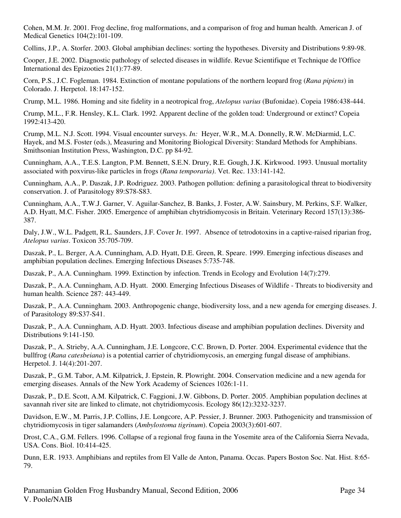Cohen, M.M. Jr. 2001. Frog decline, frog malformations, and a comparison of frog and human health. American J. of Medical Genetics 104(2):101-109.

Collins, J.P., A. Storfer. 2003. Global amphibian declines: sorting the hypotheses. Diversity and Distributions 9:89-98.

Cooper, J.E. 2002. Diagnostic pathology of selected diseases in wildlife. Revue Scientifique et Technique de l'Office International des Epizooties 21(1):77-89.

Corn, P.S., J.C. Fogleman. 1984. Extinction of montane populations of the northern leopard frog (*Rana pipiens*) in Colorado. J. Herpetol. 18:147-152.

Crump, M.L. 1986. Homing and site fidelity in a neotropical frog, *Atelopus varius* (Bufonidae). Copeia 1986:438-444.

Crump, M.L., F.R. Hensley, K.L. Clark. 1992. Apparent decline of the golden toad: Underground or extinct? Copeia 1992:413-420.

Crump, M.L. N.J. Scott. 1994. Visual encounter surveys. *In:* Heyer, W.R., M.A. Donnelly, R.W. McDiarmid, L.C. Hayek, and M.S. Foster (eds.), Measuring and Monitoring Biological Diversity: Standard Methods for Amphibians. Smithsonian Institution Press, Washington, D.C. pp 84-92.

Cunningham, A.A., T.E.S. Langton, P.M. Bennett, S.E.N. Drury, R.E. Gough, J.K. Kirkwood. 1993. Unusual mortality associated with poxvirus-like particles in frogs (*Rana temporaria)*. Vet. Rec. 133:141-142.

Cunningham, A.A., P. Daszak, J.P. Rodriguez. 2003. Pathogen pollution: defining a parasitological threat to biodiversity conservation. J. of Parasitology 89:S78-S83.

Cunningham, A.A., T.W.J. Garner, V. Aguilar-Sanchez, B. Banks, J. Foster, A.W. Sainsbury, M. Perkins, S.F. Walker, A.D. Hyatt, M.C. Fisher. 2005. Emergence of amphibian chytridiomycosis in Britain. Veterinary Record 157(13):386- 387.

Daly, J.W., W.L. Padgett, R.L. Saunders, J.F. Cover Jr. 1997. Absence of tetrodotoxins in a captive-raised riparian frog, *Atelopus varius*. Toxicon 35:705-709.

Daszak, P., L. Berger, A.A. Cunningham, A.D. Hyatt, D.E. Green, R. Speare. 1999. Emerging infectious diseases and amphibian population declines. Emerging Infectious Diseases 5:735-748.

Daszak, P., A.A. Cunningham. 1999. Extinction by infection. Trends in Ecology and Evolution 14(7):279.

Daszak, P., A.A. Cunningham, A.D. Hyatt. 2000. Emerging Infectious Diseases of Wildlife - Threats to biodiversity and human health. Science 287: 443-449.

Daszak, P., A.A. Cunningham. 2003. Anthropogenic change, biodiversity loss, and a new agenda for emerging diseases. J. of Parasitology 89:S37-S41.

Daszak, P., A.A. Cunningham, A.D. Hyatt. 2003. Infectious disease and amphibian population declines. Diversity and Distributions 9:141-150.

Daszak, P., A. Strieby, A.A. Cunningham, J.E. Longcore, C.C. Brown, D. Porter. 2004. Experimental evidence that the bullfrog (*Rana catesbeiana*) is a potential carrier of chytridiomycosis, an emerging fungal disease of amphibians. Herpetol. J. 14(4):201-207.

Daszak, P., G.M. Tabor, A.M. Kilpatrick, J. Epstein, R. Plowright. 2004. Conservation medicine and a new agenda for emerging diseases. Annals of the New York Academy of Sciences 1026:1-11.

Daszak, P., D.E. Scott, A.M. Kilpatrick, C. Faggioni, J.W. Gibbons, D. Porter. 2005. Amphibian population declines at savannah river site are linked to climate, not chytridiomycosis. Ecology 86(12):3232-3237.

Davidson, E.W., M. Parris, J.P. Collins, J.E. Longcore, A.P. Pessier, J. Brunner. 2003. Pathogenicity and transmission of chytridiomycosis in tiger salamanders (*Ambylostoma tigrinum*). Copeia 2003(3):601-607.

Drost, C.A., G.M. Fellers. 1996. Collapse of a regional frog fauna in the Yosemite area of the California Sierra Nevada, USA. Cons. Biol. 10:414-425.

Dunn, E.R. 1933. Amphibians and reptiles from El Valle de Anton, Panama. Occas. Papers Boston Soc. Nat. Hist. 8:65- 79.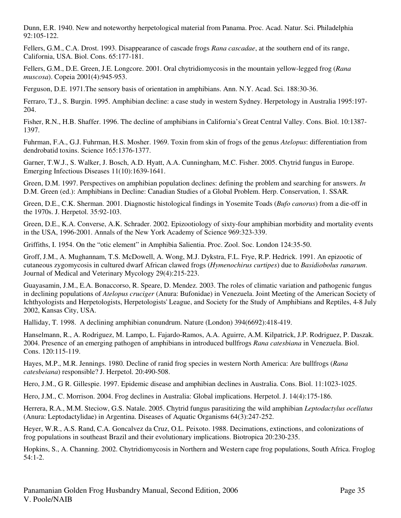Dunn, E.R. 1940. New and noteworthy herpetological material from Panama. Proc. Acad. Natur. Sci. Philadelphia 92:105-122.

Fellers, G.M., C.A. Drost. 1993. Disappearance of cascade frogs *Rana cascadae*, at the southern end of its range, California, USA. Biol. Cons. 65:177-181.

Fellers, G.M., D.E. Green, J.E. Longcore. 2001. Oral chytridiomycosis in the mountain yellow-legged frog (*Rana muscosa*). Copeia 2001(4):945-953.

Ferguson, D.E. 1971.The sensory basis of orientation in amphibians. Ann. N.Y. Acad. Sci. 188:30-36.

Ferraro, T.J., S. Burgin. 1995. Amphibian decline: a case study in western Sydney. Herpetology in Australia 1995:197- 204.

Fisher, R.N., H.B. Shaffer. 1996. The decline of amphibians in California's Great Central Valley. Cons. Biol. 10:1387- 1397.

Fuhrman, F.A., G.J. Fuhrman, H.S. Mosher. 1969. Toxin from skin of frogs of the genus *Atelopus*: differentiation from dendrobatid toxins. Science 165:1376-1377.

Garner, T.W.J., S. Walker, J. Bosch, A.D. Hyatt, A.A. Cunningham, M.C. Fisher. 2005. Chytrid fungus in Europe. Emerging Infectious Diseases 11(10):1639-1641.

Green, D.M. 1997. Perspectives on amphibian population declines: defining the problem and searching for answers. *In*  D.M. Green (ed.): Amphibians in Decline: Canadian Studies of a Global Problem. Herp. Conservation, 1. SSAR*.* 

Green, D.E., C.K. Sherman. 2001. Diagnostic histological findings in Yosemite Toads (*Bufo canorus*) from a die-off in the 1970s. J. Herpetol. 35:92-103.

Green, D.E., K.A. Converse, A.K. Schrader. 2002. Epizootiology of sixty-four amphibian morbidity and mortality events in the USA, 1996-2001. Annals of the New York Academy of Science 969:323-339.

Griffiths, I. 1954. On the "otic element" in Amphibia Salientia. Proc. Zool. Soc. London 124:35-50.

Groff, J.M., A. Mughannam, T.S. McDowell, A. Wong, M.J. Dykstra, F.L. Frye, R.P. Hedrick. 1991. An epizootic of cutaneous zygomycosis in cultured dwarf African clawed frogs (*Hymenochirus curtipes*) due to *Basidiobolus ranarum*. Journal of Medical and Veterinary Mycology 29(4):215-223.

Guayasamin, J.M., E.A. Bonaccorso, R. Speare, D. Mendez. 2003. The roles of climatic variation and pathogenic fungus in declining populations of *Atelopus cruciger* (Anura: Bufonidae) in Venezuela. Joint Meeting of the American Society of Ichthyologists and Herpetologists, Herpetologists' League, and Society for the Study of Amphibians and Reptiles, 4-8 July 2002, Kansas City, USA.

Halliday, T. 1998. A declining amphibian conundrum. Nature (London) 394(6692):418-419.

Hanselmann, R., A. Rodriguez, M. Lampo, L. Fajardo-Ramos, A.A. Aguirre, A.M. Kilpatrick, J.P. Rodriguez, P. Daszak. 2004. Presence of an emerging pathogen of amphibians in introduced bullfrogs *Rana catesbiana* in Venezuela. Biol. Cons. 120:115-119.

Hayes, M.P., M.R. Jennings. 1980. Decline of ranid frog species in western North America: Are bullfrogs (*Rana catesbeiana*) responsible? J. Herpetol. 20:490-508.

Hero, J.M., G R. Gillespie. 1997. Epidemic disease and amphibian declines in Australia. Cons. Biol. 11:1023-1025.

Hero, J.M., C. Morrison. 2004. Frog declines in Australia: Global implications. Herpetol. J. 14(4):175-186.

Herrera, R.A., M.M. Steciow, G.S. Natale. 2005. Chytrid fungus parasitizing the wild amphibian *Leptodactylus ocellatus* (Anura: Leptodactylidae) in Argentina. Diseases of Aquatic Organisms 64(3):247-252.

Heyer, W.R., A.S. Rand, C.A. Goncalvez da Cruz, O.L. Peixoto. 1988. Decimations, extinctions, and colonizations of frog populations in southeast Brazil and their evolutionary implications. Biotropica 20:230-235.

Hopkins, S., A. Channing. 2002. Chytridiomycosis in Northern and Western cape frog populations, South Africa. Froglog 54:1-2.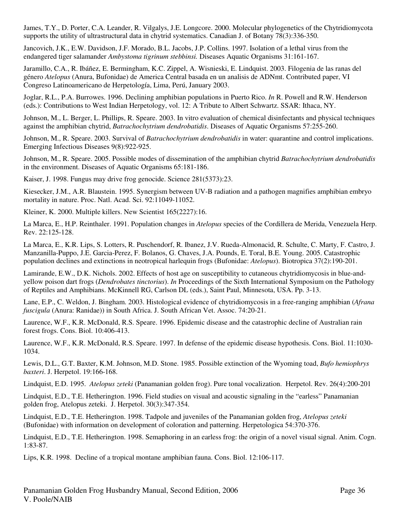James, T.Y., D. Porter, C.A. Leander, R. Vilgalys, J.E. Longcore. 2000. Molecular phylogenetics of the Chytridiomycota supports the utility of ultrastructural data in chytrid systematics. Canadian J. of Botany 78(3):336-350.

Jancovich, J.K., E.W. Davidson, J.F. Morado, B.L. Jacobs, J.P. Collins. 1997. Isolation of a lethal virus from the endangered tiger salamander *Ambystoma tigrinum stebbinsi.* Diseases Aquatic Organisms 31:161-167.

Jaramillo, C.A., R. Ibáñez, E. Bermingham, K.C. Zippel, A. Wisnieski, E. Lindquist. 2003. Filogenia de las ranas del género *Atelopus* (Anura, Bufonidae) de America Central basada en un analisis de ADNmt. Contributed paper, VI Congreso Latinoamericano de Herpetología, Lima, Perú, January 2003.

Joglar, R.L., P.A. Burrowes. 1996. Declining amphibian populations in Puerto Rico. *In* R. Powell and R.W. Henderson (eds.): Contributions to West Indian Herpetology, vol. 12: A Tribute to Albert Schwartz. SSAR: Ithaca, NY.

Johnson, M., L. Berger, L. Phillips, R. Speare. 2003. In vitro evaluation of chemical disinfectants and physical techniques against the amphibian chytrid, *Batrachochytrium dendrobatidis*. Diseases of Aquatic Organisms 57:255-260.

Johnson, M., R. Speare. 2003. Survival of *Batrachochytrium dendrobatidis* in water: quarantine and control implications. Emerging Infectious Diseases 9(8):922-925.

Johnson, M., R. Speare. 2005. Possible modes of dissemination of the amphibian chytrid *Batrachochytrium dendrobatidis* in the environment. Diseases of Aquatic Organisms 65:181-186.

Kaiser, J. 1998. Fungus may drive frog genocide. Science 281(5373):23.

Kiesecker, J.M., A.R. Blaustein. 1995. Synergism between UV-B radiation and a pathogen magnifies amphibian embryo mortality in nature. Proc. Natl. Acad. Sci. 92:11049-11052.

Kleiner, K. 2000. Multiple killers. New Scientist 165(2227):16.

La Marca, E., H.P. Reinthaler. 1991. Population changes in *Atelopus* species of the Cordillera de Merida, Venezuela Herp. Rev. 22:125-128.

La Marca, E., K.R. Lips, S. Lotters, R. Puschendorf, R. Ibanez, J.V. Rueda-Almonacid, R. Schulte, C. Marty, F. Castro, J. Manzanilla-Puppo, J.E. Garcia-Perez, F. Bolanos, G. Chaves, J.A. Pounds, E. Toral, B.E. Young. 2005. Catastrophic population declines and extinctions in neotropical harlequin frogs (Bufonidae: *Atelopus*). Biotropica 37(2):190-201.

Lamirande, E.W., D.K. Nichols. 2002. Effects of host age on susceptibility to cutaneous chytridiomycosis in blue-andyellow poison dart frogs (*Dendrobates tinctorius*). *In* Proceedings of the Sixth International Symposium on the Pathology of Reptiles and Amphibians. McKinnell RG, Carlson DL (eds.), Saint Paul, Minnesota, USA. Pp. 3-13.

Lane, E.P., C. Weldon, J. Bingham. 2003. Histological evidence of chytridiomycosis in a free-ranging amphibian (*Afrana fuscigula* (Anura: Ranidae)) in South Africa. J. South African Vet. Assoc. 74:20-21.

Laurence, W.F., K.R. McDonald, R.S. Speare. 1996. Epidemic disease and the catastrophic decline of Australian rain forest frogs. Cons. Biol. 10:406-413.

Laurence, W.F., K.R. McDonald, R.S. Speare. 1997. In defense of the epidemic disease hypothesis. Cons. Biol. 11:1030- 1034.

Lewis, D.L., G.T. Baxter, K.M. Johnson, M.D. Stone. 1985. Possible extinction of the Wyoming toad, *Bufo hemiophrys baxteri*. J. Herpetol. 19:166-168.

Lindquist, E.D. 1995. *Atelopus zeteki* (Panamanian golden frog). Pure tonal vocalization. Herpetol. Rev. 26(4):200-201

Lindquist, E.D., T.E. Hetherington. 1996. Field studies on visual and acoustic signaling in the "earless" Panamanian golden frog, Atelopus zeteki. J. Herpetol. 30(3):347-354.

Lindquist, E.D., T.E. Hetherington. 1998. Tadpole and juveniles of the Panamanian golden frog, *Atelopus zeteki* (Bufonidae) with information on development of coloration and patterning. Herpetologica 54:370-376.

Lindquist, E.D., T.E. Hetherington. 1998. Semaphoring in an earless frog: the origin of a novel visual signal. Anim. Cogn. 1:83-87.

Lips, K.R. 1998. Decline of a tropical montane amphibian fauna. Cons. Biol. 12:106-117.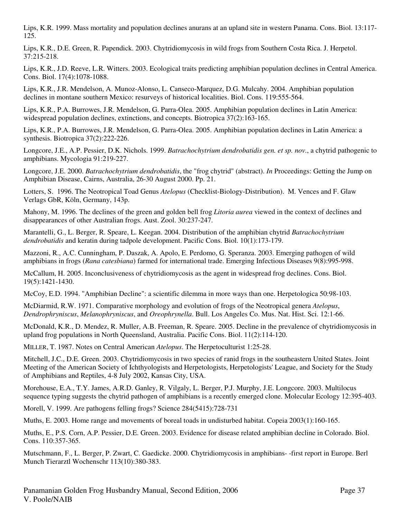Lips, K.R. 1999. Mass mortality and population declines anurans at an upland site in western Panama. Cons. Biol. 13:117- 125.

Lips, K.R., D.E. Green, R. Papendick. 2003. Chytridiomycosis in wild frogs from Southern Costa Rica. J. Herpetol. 37:215-218.

Lips, K.R., J.D. Reeve, L.R. Witters. 2003. Ecological traits predicting amphibian population declines in Central America. Cons. Biol. 17(4):1078-1088.

Lips, K.R., J.R. Mendelson, A. Munoz-Alonso, L. Canseco-Marquez, D.G. Mulcahy. 2004. Amphibian population declines in montane southern Mexico: resurveys of historical localities. Biol. Cons. 119:555-564.

Lips, K.R., P.A. Burrowes, J.R. Mendelson, G. Parra-Olea. 2005. Amphibian population declines in Latin America: widespread population declines, extinctions, and concepts. Biotropica 37(2):163-165.

Lips, K.R., P.A. Burrowes, J.R. Mendelson, G. Parra-Olea. 2005. Amphibian population declines in Latin America: a synthesis. Biotropica 37(2):222-226.

Longcore, J.E., A.P. Pessier, D.K. Nichols. 1999. *Batrachochytrium dendrobatidis gen. et sp. nov.*, a chytrid pathogenic to amphibians. Mycologia 91:219-227.

Longcore, J.E. 2000. *Batrachochytrium dendrobatidis*, the "frog chytrid" (abstract). *In* Proceedings: Getting the Jump on Amphibian Disease, Cairns, Australia, 26-30 August 2000. Pp. 21.

Lotters, S. 1996. The Neotropical Toad Genus *Atelopus* (Checklist-Biology-Distribution). M. Vences and F. Glaw Verlags GbR, Köln, Germany, 143p.

Mahony, M. 1996. The declines of the green and golden bell frog *Litoria aurea* viewed in the context of declines and disappearances of other Australian frogs. Aust. Zool. 30:237-247.

Marantelli, G., L. Berger, R. Speare, L. Keegan. 2004. Distribution of the amphibian chytrid *Batrachochytrium dendrobatidis* and keratin during tadpole development. Pacific Cons. Biol. 10(1):173-179.

Mazzoni, R., A.C. Cunningham, P. Daszak, A. Apolo, E. Perdomo, G. Speranza. 2003. Emerging pathogen of wild amphibians in frogs (*Rana catesbiana*) farmed for international trade. Emerging Infectious Diseases 9(8):995-998.

McCallum, H. 2005. Inconclusiveness of chytridiomycosis as the agent in widespread frog declines. Cons. Biol. 19(5):1421-1430.

McCoy, E.D. 1994. "Amphibian Decline": a scientific dilemma in more ways than one. Herpetologica 50:98-103.

McDiarmid, R.W. 1971. Comparative morphology and evolution of frogs of the Neotropical genera *Atelopus*, *Dendrophryniscus*, *Melanophryniscus*, and *Oreophrynella*. Bull. Los Angeles Co. Mus. Nat. Hist. Sci. 12:1-66.

McDonald, K.R., D. Mendez, R. Muller, A.B. Freeman, R. Speare. 2005. Decline in the prevalence of chytridiomycosis in upland frog populations in North Queensland, Australia. Pacific Cons. Biol. 11(2):114-120.

MILLER, T. 1987. Notes on Central American *Atelopus*. The Herpetoculturist 1:25-28.

Mitchell, J.C., D.E. Green. 2003. Chytridiomycosis in two species of ranid frogs in the southeastern United States. Joint Meeting of the American Society of Ichthyologists and Herpetologists, Herpetologists' League, and Society for the Study of Amphibians and Reptiles, 4-8 July 2002, Kansas City, USA.

Morehouse, E.A., T.Y. James, A.R.D. Ganley, R. Vilgaly, L. Berger, P.J. Murphy, J.E. Longcore. 2003. Multilocus sequence typing suggests the chytrid pathogen of amphibians is a recently emerged clone. Molecular Ecology 12:395-403.

Morell, V. 1999. Are pathogens felling frogs? Science 284(5415):728-731

Muths, E. 2003. Home range and movements of boreal toads in undisturbed habitat. Copeia 2003(1):160-165.

Muths, E., P.S. Corn, A.P. Pessier, D.E. Green. 2003. Evidence for disease related amphibian decline in Colorado. Biol. Cons. 110:357-365.

Mutschmann, F., L. Berger, P. Zwart, C. Gaedicke. 2000. Chytridiomycosis in amphibians- -first report in Europe. Berl Munch Tierarztl Wochenschr 113(10):380-383.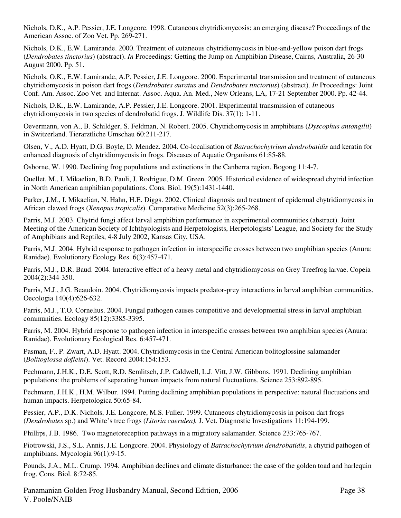Nichols, D.K., A.P. Pessier, J.E. Longcore. 1998. Cutaneous chytridiomycosis: an emerging disease? Proceedings of the American Assoc. of Zoo Vet. Pp. 269-271.

Nichols, D.K., E.W. Lamirande. 2000. Treatment of cutaneous chytridiomycosis in blue-and-yellow poison dart frogs (*Dendrobates tinctorius*) (abstract). *In* Proceedings: Getting the Jump on Amphibian Disease, Cairns, Australia, 26-30 August 2000. Pp. 51.

Nichols, O.K., E.W. Lamirande, A.P. Pessier, J.E. Longcore. 2000. Experimental transmission and treatment of cutaneous chytridiomycosis in poison dart frogs (*Dendrobates auratus* and *Dendrobates tinctorius*) (abstract). *In* Proceedings: Joint Conf. Am. Assoc. Zoo Vet. and Internat. Assoc. Aqua. An. Med., New Orleans, LA, 17-21 September 2000. Pp. 42-44.

Nichols, D.K., E.W. Lamirande, A.P. Pessier, J.E. Longcore. 2001. Experimental transmission of cutaneous chytridiomycosis in two species of dendrobatid frogs. J. Wildlife Dis. 37(1): 1-11.

Oevermann, von A., B. Schildger, S. Feldman, N. Robert. 2005. Chytridiomycosis in amphibians (*Dyscophus antongilii*) in Switzerland. Tierarztliche Umschau 60:211-217.

Olsen, V., A.D. Hyatt, D.G. Boyle, D. Mendez. 2004. Co-localisation of *Batrachochytrium dendrobatidis* and keratin for enhanced diagnosis of chytridiomycosis in frogs. Diseases of Aquatic Organisms 61:85-88.

Osborne, W. 1990. Declining frog populations and extinctions in the Canberra region. Bogong 11:4-7.

Ouellet, M., I. Mikaelian, B.D. Pauli, J. Rodrigue, D.M. Green. 2005. Historical evidence of widespread chytrid infection in North American amphibian populations. Cons. Biol. 19(5):1431-1440.

Parker, J.M., I. Mikaelian, N. Hahn, H.E. Diggs. 2002. Clinical diagnosis and treatment of epidermal chytridiomycosis in African clawed frogs (*Xenopus tropicalis*). Comparative Medicine 52(3):265-268.

Parris, M.J. 2003. Chytrid fungi affect larval amphibian performance in experimental communities (abstract). Joint Meeting of the American Society of Ichthyologists and Herpetologists, Herpetologists' League, and Society for the Study of Amphibians and Reptiles, 4-8 July 2002, Kansas City, USA.

Parris, M.J. 2004. Hybrid response to pathogen infection in interspecific crosses between two amphibian species (Anura: Ranidae). Evolutionary Ecology Res. 6(3):457-471.

Parris, M.J., D.R. Baud. 2004. Interactive effect of a heavy metal and chytridiomycosis on Grey Treefrog larvae. Copeia 2004(2):344-350.

Parris, M.J., J.G. Beaudoin. 2004. Chytridiomycosis impacts predator-prey interactions in larval amphibian communities. Oecologia 140(4):626-632.

Parris, M.J., T.O. Cornelius. 2004. Fungal pathogen causes competitive and developmental stress in larval amphibian communities. Ecology 85(12):3385-3395.

Parris, M. 2004. Hybrid response to pathogen infection in interspecific crosses between two amphibian species (Anura: Ranidae). Evolutionary Ecological Res. 6:457-471.

Pasman, F., P. Zwart, A.D. Hyatt. 2004. Chytridiomycosis in the Central American bolitoglossine salamander (*Bolitoglossa dofleini*). Vet. Record 2004:154:153.

Pechmann, J.H.K., D.E. Scott, R.D. Semlitsch, J.P. Caldwell, L.J. Vitt, J.W. Gibbons. 1991. Declining amphibian populations: the problems of separating human impacts from natural fluctuations. Science 253:892-895.

Pechmann, J.H.K., H.M. Wilbur. 1994. Putting declining amphibian populations in perspective: natural fluctuations and human impacts. Herpetologica 50:65-84.

Pessier, A.P., D.K. Nichols, J.E. Longcore, M.S. Fuller. 1999. Cutaneous chytridiomycosis in poison dart frogs (*Dendrobates* sp.) and White's tree frogs (*Litoria caerulea).* J. Vet. Diagnostic Investigations 11:194-199.

Phillips, J.B. 1986. Two magnetoreception pathways in a migratory salamander. Science 233:765-767.

Piotrowski, J.S., S.L. Annis, J.E. Longcore. 2004. Physiology of *Batrachochytrium dendrobatidis*, a chytrid pathogen of amphibians. Mycologia 96(1):9-15.

Pounds, J.A., M.L. Crump. 1994. Amphibian declines and climate disturbance: the case of the golden toad and harlequin frog. Cons. Biol. 8:72-85.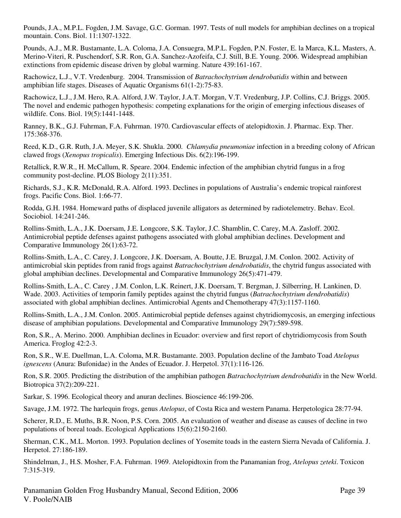Pounds, J.A., M.P.L. Fogden, J.M. Savage, G.C. Gorman. 1997. Tests of null models for amphibian declines on a tropical mountain. Cons. Biol. 11:1307-1322.

Pounds, A.J., M.R. Bustamante, L.A. Coloma, J.A. Consuegra, M.P.L. Fogden, P.N. Foster, E. la Marca, K.L. Masters, A. Merino-Viteri, R. Puschendorf, S.R. Ron, G.A. Sanchez-Azofeifa, C.J. Still, B.E. Young. 2006. Widespread amphibian extinctions from epidemic disease driven by global warming. Nature 439:161-167.

Rachowicz, L.J., V.T. Vredenburg. 2004. Transmission of *Batrachochytrium dendrobatidis* within and between amphibian life stages. Diseases of Aquatic Organisms 61(1-2):75-83.

Rachowicz, L.J., J.M. Hero, R.A. Alford, J.W. Taylor, J.A.T. Morgan, V.T. Vredenburg, J.P. Collins, C.J. Briggs. 2005. The novel and endemic pathogen hypothesis: competing explanations for the origin of emerging infectious diseases of wildlife. Cons. Biol. 19(5):1441-1448.

Ranney, B.K., G.J. Fuhrman, F.A. Fuhrman. 1970. Cardiovascular effects of atelopidtoxin. J. Pharmac. Exp. Ther. 175:368-376.

Reed, K.D., G.R. Ruth, J.A. Meyer, S.K. Shukla. 2000. *Chlamydia pneumoniae* infection in a breeding colony of African clawed frogs (*Xenopus tropicalis*). Emerging Infectious Dis. 6(2):196-199.

Retallick, R.W.R., H. McCallum, R. Speare. 2004. Endemic infection of the amphibian chytrid fungus in a frog community post-decline. PLOS Biology 2(11):351.

Richards, S.J., K.R. McDonald, R.A. Alford. 1993. Declines in populations of Australia's endemic tropical rainforest frogs. Pacific Cons. Biol. 1:66-77.

Rodda, G.H. 1984. Homeward paths of displaced juvenile alligators as determined by radiotelemetry. Behav. Ecol. Sociobiol. 14:241-246.

Rollins-Smith, L.A., J.K. Doersam, J.E. Longcore, S.K. Taylor, J.C. Shamblin, C. Carey, M.A. Zasloff. 2002. Antimicrobial peptide defenses against pathogens associated with global amphibian declines. Development and Comparative Immunology 26(1):63-72.

Rollins-Smith, L.A., C. Carey, J. Longcore, J.K. Doersam, A. Boutte, J.E. Bruzgal, J.M. Conlon. 2002. Activity of antimicrobial skin peptides from ranid frogs against *Batrachochytrium dendrobatidis*, the chytrid fungus associated with global amphibian declines. Developmental and Comparative Immunology 26(5):471-479.

Rollins-Smith, L.A., C. Carey , J.M. Conlon, L.K. Reinert, J.K. Doersam, T. Bergman, J. Silberring, H. Lankinen, D. Wade. 2003. Activities of temporin family peptides against the chytrid fungus (*Batrachochytrium dendrobatidis*) associated with global amphibian declines. Antimicrobial Agents and Chemotherapy 47(3):1157-1160.

Rollins-Smith, L.A., J.M. Conlon. 2005. Antimicrobial peptide defenses against chytridiomycosis, an emerging infectious disease of amphibian populations. Developmental and Comparative Immunology 29(7):589-598.

Ron, S.R., A. Merino. 2000. Amphibian declines in Ecuador: overview and first report of chytridiomycosis from South America. Froglog 42:2-3.

Ron, S.R., W.E. Duellman, L.A. Coloma, M.R. Bustamante. 2003. Population decline of the Jambato Toad *Atelopus ignescens* (Anura: Bufonidae) in the Andes of Ecuador. J. Herpetol. 37(1):116-126.

Ron, S.R. 2005. Predicting the distribution of the amphibian pathogen *Batrachochytrium dendrobatidis* in the New World. Biotropica 37(2):209-221.

Sarkar, S. 1996. Ecological theory and anuran declines. Bioscience 46:199-206.

Savage, J.M. 1972. The harlequin frogs, genus *Atelopus*, of Costa Rica and western Panama. Herpetologica 28:77-94.

Scherer, R.D., E. Muths, B.R. Noon, P.S. Corn. 2005. An evaluation of weather and disease as causes of decline in two populations of boreal toads. Ecological Applications 15(6):2150-2160.

Sherman, C.K., M.L. Morton. 1993. Population declines of Yosemite toads in the eastern Sierra Nevada of California. J. Herpetol. 27:186-189.

Shindelman, J., H.S. Mosher, F.A. Fuhrman. 1969. Atelopidtoxin from the Panamanian frog, *Atelopus zeteki*. Toxicon 7:315-319.